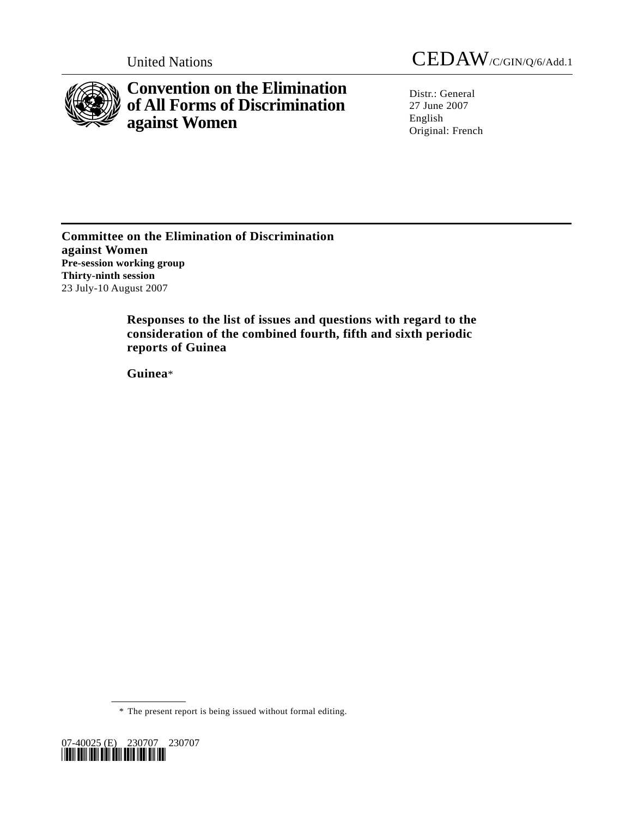

# **Convention on the Elimination of All Forms of Discrimination against Women**

United Nations CEDAW/C/GIN/Q/6/Add.1

Distr.: General 27 June 2007 English Original: French

**Committee on the Elimination of Discrimination against Women Pre-session working group Thirty-ninth session**  23 July-10 August 2007

> **Responses to the list of issues and questions with regard to the consideration of the combined fourth, fifth and sixth periodic reports of Guinea**

 **Guinea**\*

\* The present report is being issued without formal editing.

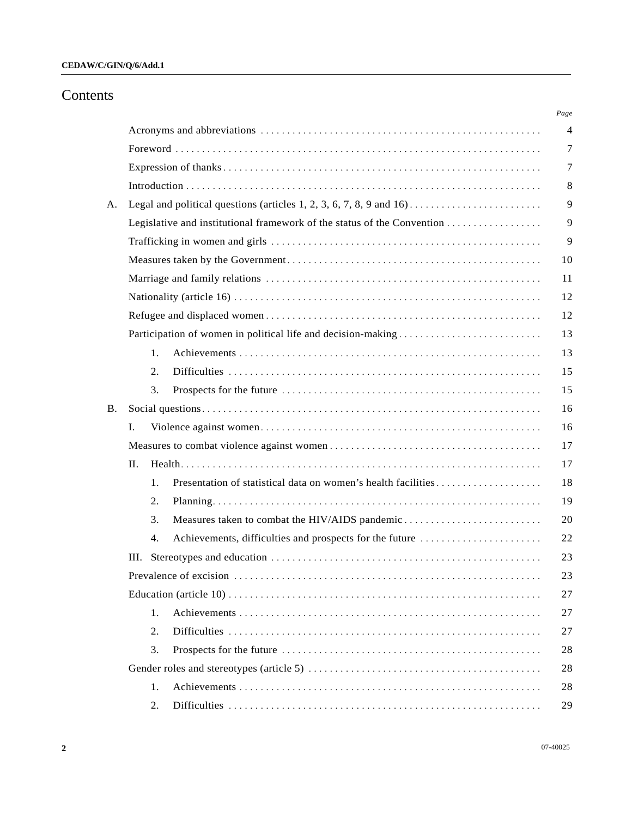# Contents

| A. |                                                               |
|----|---------------------------------------------------------------|
|    |                                                               |
|    |                                                               |
|    |                                                               |
|    |                                                               |
|    |                                                               |
|    |                                                               |
|    | Participation of women in political life and decision-making  |
|    | 1.                                                            |
|    | 2.                                                            |
|    | 3.                                                            |
| Β. |                                                               |
|    | L.                                                            |
|    |                                                               |
|    | II.                                                           |
|    | 1.                                                            |
|    | 2.                                                            |
|    | 3.<br>Measures taken to combat the HIV/AIDS pandemic          |
|    | Achievements, difficulties and prospects for the future<br>4. |
|    | Ш.                                                            |
|    |                                                               |
|    |                                                               |
|    | 1.                                                            |
|    | 2.                                                            |
|    | 3.                                                            |
|    |                                                               |
|    | 1.                                                            |
|    | 2.                                                            |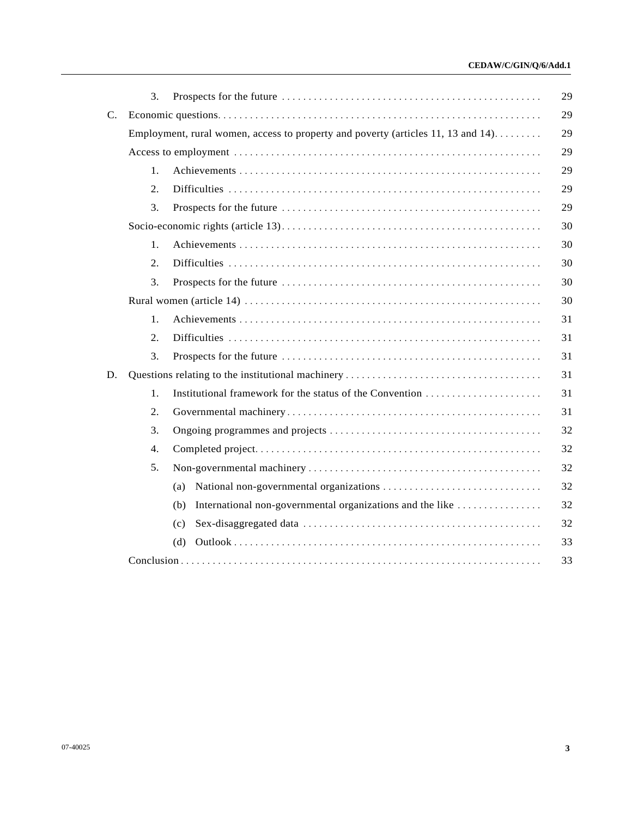# **CEDAW/C/GIN/Q/6/Add.1**

|                | 3. |                                                                                  | 29 |
|----------------|----|----------------------------------------------------------------------------------|----|
| $\mathbf{C}$ . |    |                                                                                  | 29 |
|                |    | Employment, rural women, access to property and poverty (articles 11, 13 and 14) | 29 |
|                |    |                                                                                  | 29 |
|                | 1. |                                                                                  | 29 |
|                | 2. |                                                                                  | 29 |
|                | 3. |                                                                                  | 29 |
|                |    |                                                                                  | 30 |
|                | 1. |                                                                                  | 30 |
|                | 2. |                                                                                  | 30 |
|                | 3. |                                                                                  | 30 |
|                |    |                                                                                  | 30 |
|                | 1. |                                                                                  | 31 |
|                | 2. |                                                                                  | 31 |
|                | 3. |                                                                                  | 31 |
| D.             |    |                                                                                  | 31 |
|                | 1. |                                                                                  | 31 |
|                | 2. |                                                                                  | 31 |
|                | 3. |                                                                                  | 32 |
|                | 4. |                                                                                  | 32 |
|                | 5. |                                                                                  | 32 |
|                |    | (a)                                                                              | 32 |
|                |    | International non-governmental organizations and the like<br>(b)                 | 32 |
|                |    | (c)                                                                              | 32 |
|                |    | (d)                                                                              | 33 |
|                |    |                                                                                  | 33 |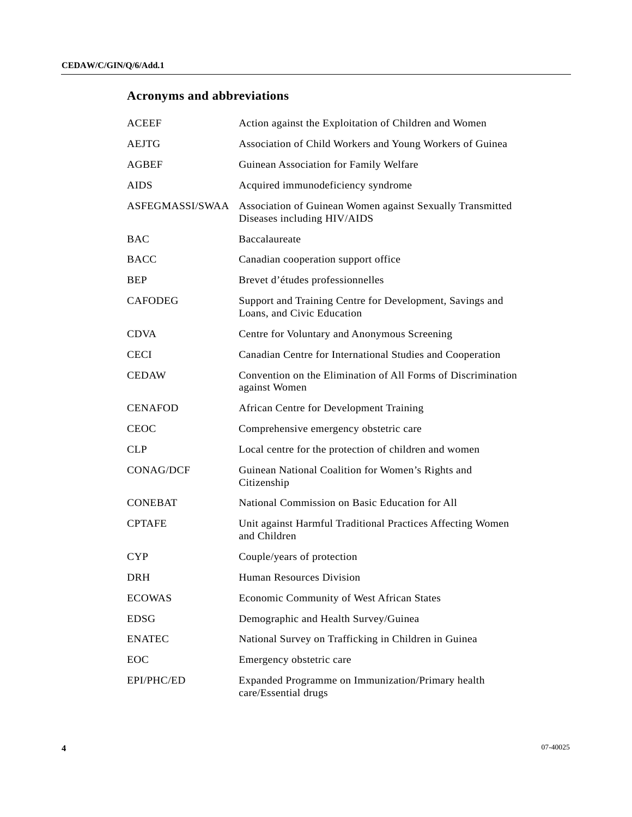# **Acronyms and abbreviations**

| <b>ACEEF</b>   | Action against the Exploitation of Children and Women                                                    |
|----------------|----------------------------------------------------------------------------------------------------------|
| AEJTG          | Association of Child Workers and Young Workers of Guinea                                                 |
| AGBEF          | Guinean Association for Family Welfare                                                                   |
| AIDS           | Acquired immunodeficiency syndrome                                                                       |
|                | ASFEGMASSI/SWAA Association of Guinean Women against Sexually Transmitted<br>Diseases including HIV/AIDS |
| BAC            | Baccalaureate                                                                                            |
| BACC           | Canadian cooperation support office                                                                      |
| BEP            | Brevet d'études professionnelles                                                                         |
| CAFODEG        | Support and Training Centre for Development, Savings and<br>Loans, and Civic Education                   |
| CDVA           | Centre for Voluntary and Anonymous Screening                                                             |
| CECI           | Canadian Centre for International Studies and Cooperation                                                |
| CEDAW          | Convention on the Elimination of All Forms of Discrimination<br>against Women                            |
| CENAFOD        | African Centre for Development Training                                                                  |
| CEOC           | Comprehensive emergency obstetric care                                                                   |
| CLP            | Local centre for the protection of children and women                                                    |
| CONAG/DCF      | Guinean National Coalition for Women's Rights and<br>Citizenship                                         |
| <b>CONEBAT</b> | National Commission on Basic Education for All                                                           |
| <b>CPTAFE</b>  | Unit against Harmful Traditional Practices Affecting Women<br>and Children                               |
| CYP            | Couple/years of protection                                                                               |
| DRH            | <b>Human Resources Division</b>                                                                          |
| ECOWAS         | Economic Community of West African States                                                                |
| EDSG           | Demographic and Health Survey/Guinea                                                                     |
| <b>ENATEC</b>  | National Survey on Trafficking in Children in Guinea                                                     |
| EOC            | Emergency obstetric care                                                                                 |
| EPI/PHC/ED     | Expanded Programme on Immunization/Primary health<br>care/Essential drugs                                |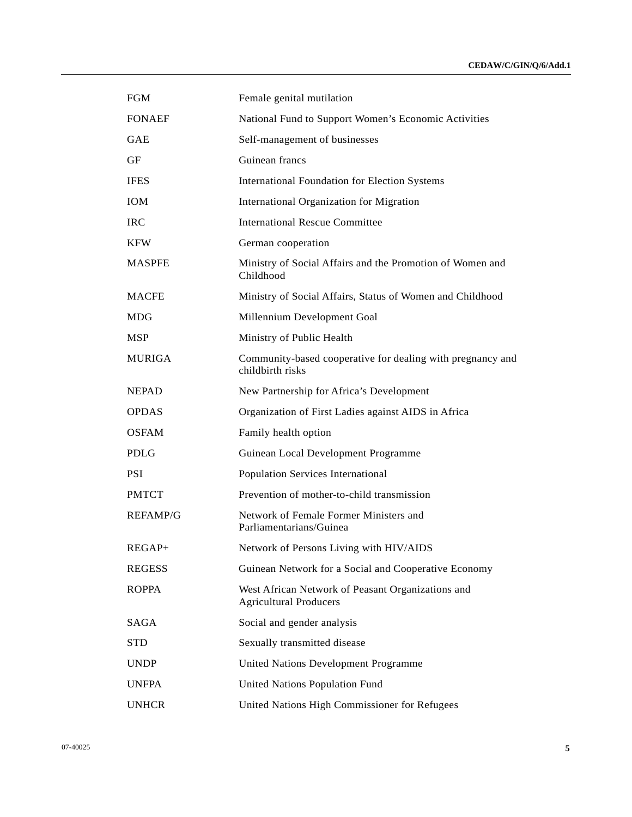| <b>FGM</b>      | Female genital mutilation                                                          |
|-----------------|------------------------------------------------------------------------------------|
| <b>FONAEF</b>   | National Fund to Support Women's Economic Activities                               |
| <b>GAE</b>      | Self-management of businesses                                                      |
| GF              | Guinean francs                                                                     |
| <b>IFES</b>     | <b>International Foundation for Election Systems</b>                               |
| <b>IOM</b>      | International Organization for Migration                                           |
| <b>IRC</b>      | <b>International Rescue Committee</b>                                              |
| <b>KFW</b>      | German cooperation                                                                 |
| <b>MASPFE</b>   | Ministry of Social Affairs and the Promotion of Women and<br>Childhood             |
| <b>MACFE</b>    | Ministry of Social Affairs, Status of Women and Childhood                          |
| MDG             | Millennium Development Goal                                                        |
| MSP             | Ministry of Public Health                                                          |
| <b>MURIGA</b>   | Community-based cooperative for dealing with pregnancy and<br>childbirth risks     |
| <b>NEPAD</b>    | New Partnership for Africa's Development                                           |
| <b>OPDAS</b>    | Organization of First Ladies against AIDS in Africa                                |
| <b>OSFAM</b>    | Family health option                                                               |
| PDLG            | Guinean Local Development Programme                                                |
| PSI.            | Population Services International                                                  |
| <b>PMTCT</b>    | Prevention of mother-to-child transmission                                         |
| <b>REFAMP/G</b> | Network of Female Former Ministers and<br>Parliamentarians/Guinea                  |
| $REGAP+$        | Network of Persons Living with HIV/AIDS                                            |
| <b>REGESS</b>   | Guinean Network for a Social and Cooperative Economy                               |
| <b>ROPPA</b>    | West African Network of Peasant Organizations and<br><b>Agricultural Producers</b> |
| SAGA            | Social and gender analysis                                                         |
| <b>STD</b>      | Sexually transmitted disease                                                       |
| <b>UNDP</b>     | <b>United Nations Development Programme</b>                                        |
| <b>UNFPA</b>    | <b>United Nations Population Fund</b>                                              |
| <b>UNHCR</b>    | United Nations High Commissioner for Refugees                                      |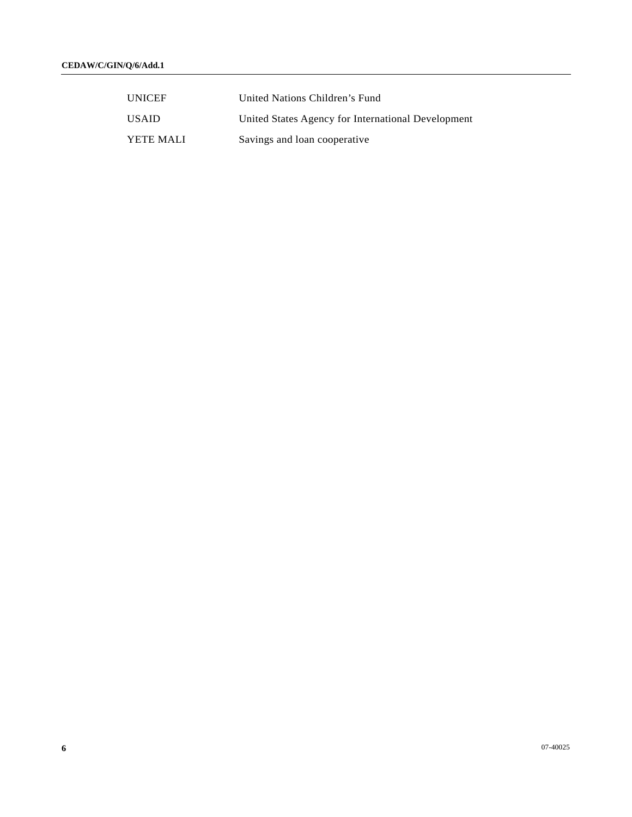| <b>UNICEF</b> | United Nations Children's Fund                     |
|---------------|----------------------------------------------------|
| <b>USAID</b>  | United States Agency for International Development |
| YETE MALI     | Savings and loan cooperative                       |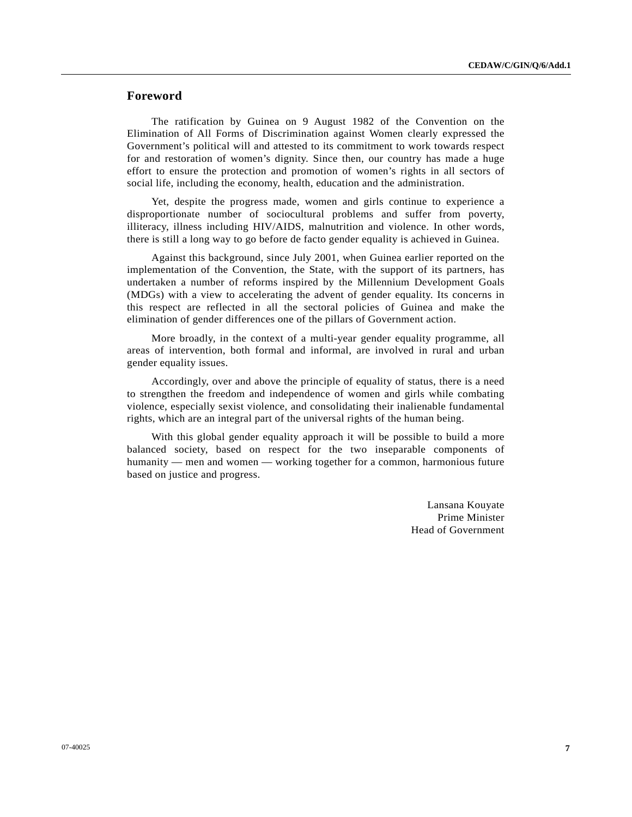# **Foreword**

 The ratification by Guinea on 9 August 1982 of the Convention on the Elimination of All Forms of Discrimination against Women clearly expressed the Government's political will and attested to its commitment to work towards respect for and restoration of women's dignity. Since then, our country has made a huge effort to ensure the protection and promotion of women's rights in all sectors of social life, including the economy, health, education and the administration.

 Yet, despite the progress made, women and girls continue to experience a disproportionate number of sociocultural problems and suffer from poverty, illiteracy, illness including HIV/AIDS, malnutrition and violence. In other words, there is still a long way to go before de facto gender equality is achieved in Guinea.

 Against this background, since July 2001, when Guinea earlier reported on the implementation of the Convention, the State, with the support of its partners, has undertaken a number of reforms inspired by the Millennium Development Goals (MDGs) with a view to accelerating the advent of gender equality. Its concerns in this respect are reflected in all the sectoral policies of Guinea and make the elimination of gender differences one of the pillars of Government action.

 More broadly, in the context of a multi-year gender equality programme, all areas of intervention, both formal and informal, are involved in rural and urban gender equality issues.

 Accordingly, over and above the principle of equality of status, there is a need to strengthen the freedom and independence of women and girls while combating violence, especially sexist violence, and consolidating their inalienable fundamental rights, which are an integral part of the universal rights of the human being.

 With this global gender equality approach it will be possible to build a more balanced society, based on respect for the two inseparable components of humanity — men and women — working together for a common, harmonious future based on justice and progress.

> Lansana Kouyate Prime Minister Head of Government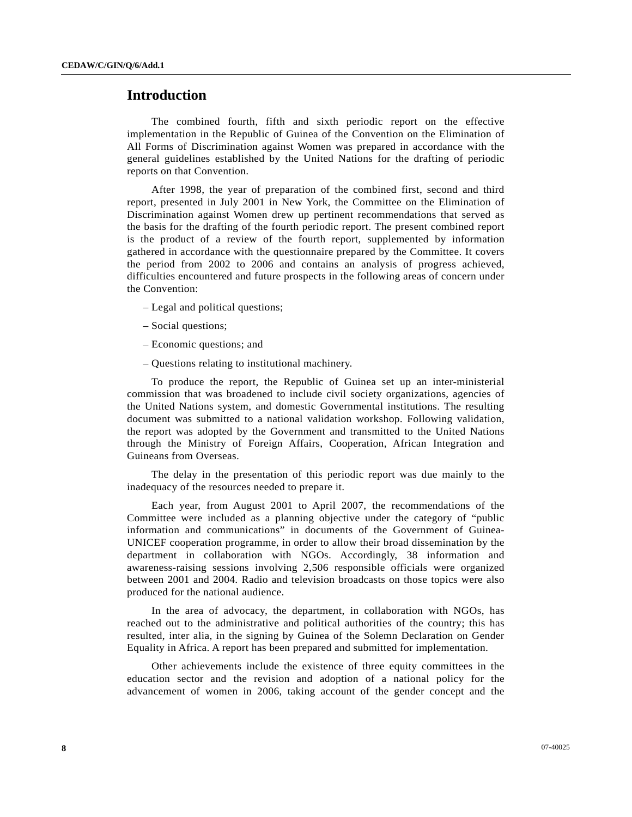# **Introduction**

 The combined fourth, fifth and sixth periodic report on the effective implementation in the Republic of Guinea of the Convention on the Elimination of All Forms of Discrimination against Women was prepared in accordance with the general guidelines established by the United Nations for the drafting of periodic reports on that Convention.

 After 1998, the year of preparation of the combined first, second and third report, presented in July 2001 in New York, the Committee on the Elimination of Discrimination against Women drew up pertinent recommendations that served as the basis for the drafting of the fourth periodic report. The present combined report is the product of a review of the fourth report, supplemented by information gathered in accordance with the questionnaire prepared by the Committee. It covers the period from 2002 to 2006 and contains an analysis of progress achieved, difficulties encountered and future prospects in the following areas of concern under the Convention:

- Legal and political questions;
- Social questions;
- Economic questions; and
- Questions relating to institutional machinery.

 To produce the report, the Republic of Guinea set up an inter-ministerial commission that was broadened to include civil society organizations, agencies of the United Nations system, and domestic Governmental institutions. The resulting document was submitted to a national validation workshop. Following validation, the report was adopted by the Government and transmitted to the United Nations through the Ministry of Foreign Affairs, Cooperation, African Integration and Guineans from Overseas.

 The delay in the presentation of this periodic report was due mainly to the inadequacy of the resources needed to prepare it.

 Each year, from August 2001 to April 2007, the recommendations of the Committee were included as a planning objective under the category of "public information and communications" in documents of the Government of Guinea-UNICEF cooperation programme, in order to allow their broad dissemination by the department in collaboration with NGOs. Accordingly, 38 information and awareness-raising sessions involving 2,506 responsible officials were organized between 2001 and 2004. Radio and television broadcasts on those topics were also produced for the national audience.

 In the area of advocacy, the department, in collaboration with NGOs, has reached out to the administrative and political authorities of the country; this has resulted, inter alia, in the signing by Guinea of the Solemn Declaration on Gender Equality in Africa. A report has been prepared and submitted for implementation.

 Other achievements include the existence of three equity committees in the education sector and the revision and adoption of a national policy for the advancement of women in 2006, taking account of the gender concept and the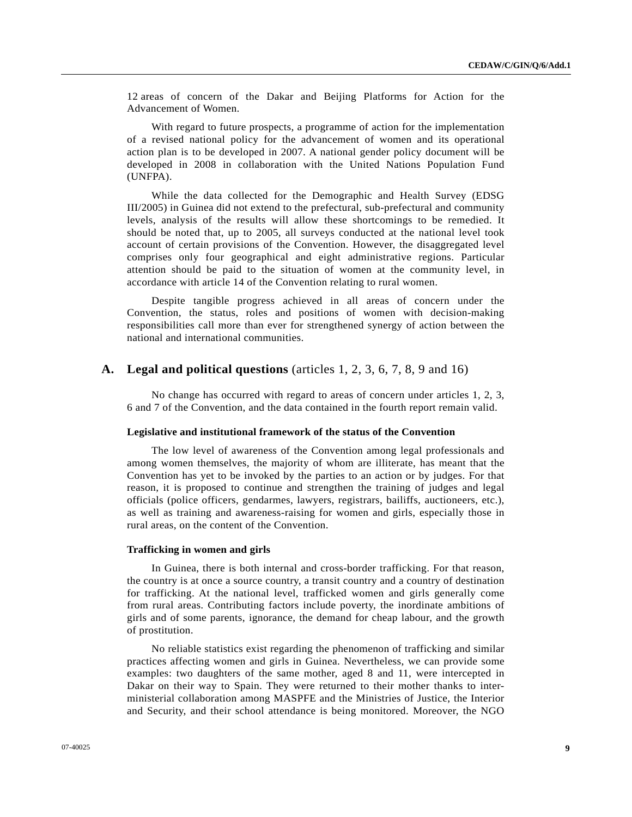12 areas of concern of the Dakar and Beijing Platforms for Action for the Advancement of Women.

 With regard to future prospects, a programme of action for the implementation of a revised national policy for the advancement of women and its operational action plan is to be developed in 2007. A national gender policy document will be developed in 2008 in collaboration with the United Nations Population Fund (UNFPA).

 While the data collected for the Demographic and Health Survey (EDSG III/2005) in Guinea did not extend to the prefectural, sub-prefectural and community levels, analysis of the results will allow these shortcomings to be remedied. It should be noted that, up to 2005, all surveys conducted at the national level took account of certain provisions of the Convention. However, the disaggregated level comprises only four geographical and eight administrative regions. Particular attention should be paid to the situation of women at the community level, in accordance with article 14 of the Convention relating to rural women.

 Despite tangible progress achieved in all areas of concern under the Convention, the status, roles and positions of women with decision-making responsibilities call more than ever for strengthened synergy of action between the national and international communities.

# **A. Legal and political questions** (articles 1, 2, 3, 6, 7, 8, 9 and 16)

 No change has occurred with regard to areas of concern under articles 1, 2, 3, 6 and 7 of the Convention, and the data contained in the fourth report remain valid.

### **Legislative and institutional framework of the status of the Convention**

 The low level of awareness of the Convention among legal professionals and among women themselves, the majority of whom are illiterate, has meant that the Convention has yet to be invoked by the parties to an action or by judges. For that reason, it is proposed to continue and strengthen the training of judges and legal officials (police officers, gendarmes, lawyers, registrars, bailiffs, auctioneers, etc.), as well as training and awareness-raising for women and girls, especially those in rural areas, on the content of the Convention.

### **Trafficking in women and girls**

 In Guinea, there is both internal and cross-border trafficking. For that reason, the country is at once a source country, a transit country and a country of destination for trafficking. At the national level, trafficked women and girls generally come from rural areas. Contributing factors include poverty, the inordinate ambitions of girls and of some parents, ignorance, the demand for cheap labour, and the growth of prostitution.

 No reliable statistics exist regarding the phenomenon of trafficking and similar practices affecting women and girls in Guinea. Nevertheless, we can provide some examples: two daughters of the same mother, aged 8 and 11, were intercepted in Dakar on their way to Spain. They were returned to their mother thanks to interministerial collaboration among MASPFE and the Ministries of Justice, the Interior and Security, and their school attendance is being monitored. Moreover, the NGO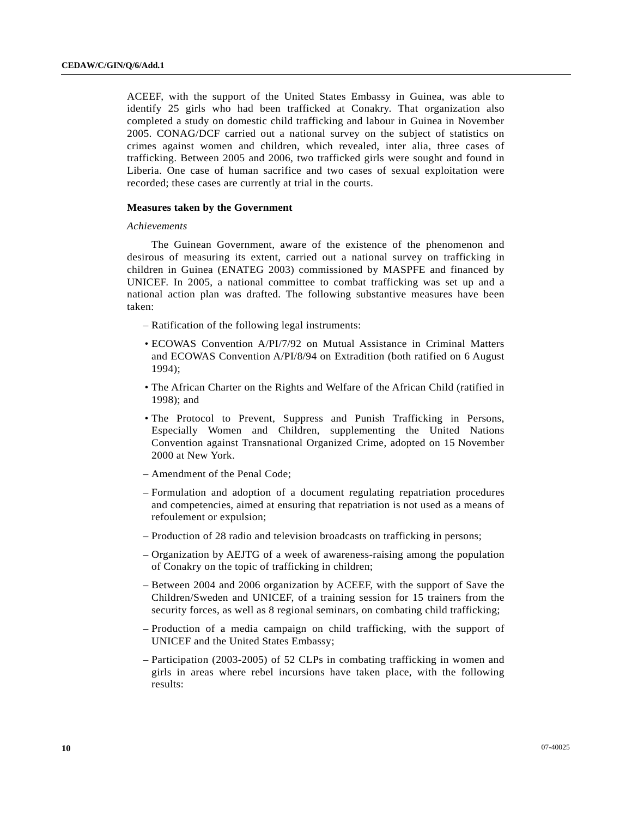ACEEF, with the support of the United States Embassy in Guinea, was able to identify 25 girls who had been trafficked at Conakry. That organization also completed a study on domestic child trafficking and labour in Guinea in November 2005. CONAG/DCF carried out a national survey on the subject of statistics on crimes against women and children, which revealed, inter alia, three cases of trafficking. Between 2005 and 2006, two trafficked girls were sought and found in Liberia. One case of human sacrifice and two cases of sexual exploitation were recorded; these cases are currently at trial in the courts.

### **Measures taken by the Government**

### *Achievements*

 The Guinean Government, aware of the existence of the phenomenon and desirous of measuring its extent, carried out a national survey on trafficking in children in Guinea (ENATEG 2003) commissioned by MASPFE and financed by UNICEF. In 2005, a national committee to combat trafficking was set up and a national action plan was drafted. The following substantive measures have been taken:

- Ratification of the following legal instruments:
- ECOWAS Convention A/PI/7/92 on Mutual Assistance in Criminal Matters and ECOWAS Convention A/PI/8/94 on Extradition (both ratified on 6 August 1994);
- The African Charter on the Rights and Welfare of the African Child (ratified in 1998); and
- The Protocol to Prevent, Suppress and Punish Trafficking in Persons, Especially Women and Children, supplementing the United Nations Convention against Transnational Organized Crime, adopted on 15 November 2000 at New York.
- Amendment of the Penal Code;
- Formulation and adoption of a document regulating repatriation procedures and competencies, aimed at ensuring that repatriation is not used as a means of refoulement or expulsion;
- Production of 28 radio and television broadcasts on trafficking in persons;
- Organization by AEJTG of a week of awareness-raising among the population of Conakry on the topic of trafficking in children;
- Between 2004 and 2006 organization by ACEEF, with the support of Save the Children/Sweden and UNICEF, of a training session for 15 trainers from the security forces, as well as 8 regional seminars, on combating child trafficking;
- Production of a media campaign on child trafficking, with the support of UNICEF and the United States Embassy;
- Participation (2003-2005) of 52 CLPs in combating trafficking in women and girls in areas where rebel incursions have taken place, with the following results: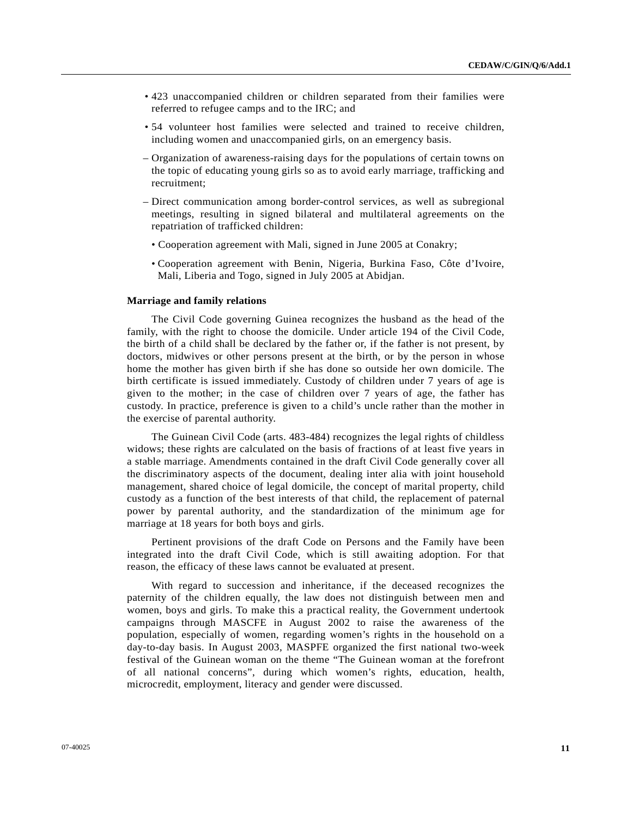- 423 unaccompanied children or children separated from their families were referred to refugee camps and to the IRC; and
- 54 volunteer host families were selected and trained to receive children, including women and unaccompanied girls, on an emergency basis.
- Organization of awareness-raising days for the populations of certain towns on the topic of educating young girls so as to avoid early marriage, trafficking and recruitment;
- Direct communication among border-control services, as well as subregional meetings, resulting in signed bilateral and multilateral agreements on the repatriation of trafficked children:
	- Cooperation agreement with Mali, signed in June 2005 at Conakry;
	- Cooperation agreement with Benin, Nigeria, Burkina Faso, Côte d'Ivoire, Mali, Liberia and Togo, signed in July 2005 at Abidjan.

### **Marriage and family relations**

 The Civil Code governing Guinea recognizes the husband as the head of the family, with the right to choose the domicile. Under article 194 of the Civil Code, the birth of a child shall be declared by the father or, if the father is not present, by doctors, midwives or other persons present at the birth, or by the person in whose home the mother has given birth if she has done so outside her own domicile. The birth certificate is issued immediately. Custody of children under 7 years of age is given to the mother; in the case of children over 7 years of age, the father has custody. In practice, preference is given to a child's uncle rather than the mother in the exercise of parental authority.

 The Guinean Civil Code (arts. 483-484) recognizes the legal rights of childless widows; these rights are calculated on the basis of fractions of at least five years in a stable marriage. Amendments contained in the draft Civil Code generally cover all the discriminatory aspects of the document, dealing inter alia with joint household management, shared choice of legal domicile, the concept of marital property, child custody as a function of the best interests of that child, the replacement of paternal power by parental authority, and the standardization of the minimum age for marriage at 18 years for both boys and girls.

 Pertinent provisions of the draft Code on Persons and the Family have been integrated into the draft Civil Code, which is still awaiting adoption. For that reason, the efficacy of these laws cannot be evaluated at present.

 With regard to succession and inheritance, if the deceased recognizes the paternity of the children equally, the law does not distinguish between men and women, boys and girls. To make this a practical reality, the Government undertook campaigns through MASCFE in August 2002 to raise the awareness of the population, especially of women, regarding women's rights in the household on a day-to-day basis. In August 2003, MASPFE organized the first national two-week festival of the Guinean woman on the theme "The Guinean woman at the forefront of all national concerns", during which women's rights, education, health, microcredit, employment, literacy and gender were discussed.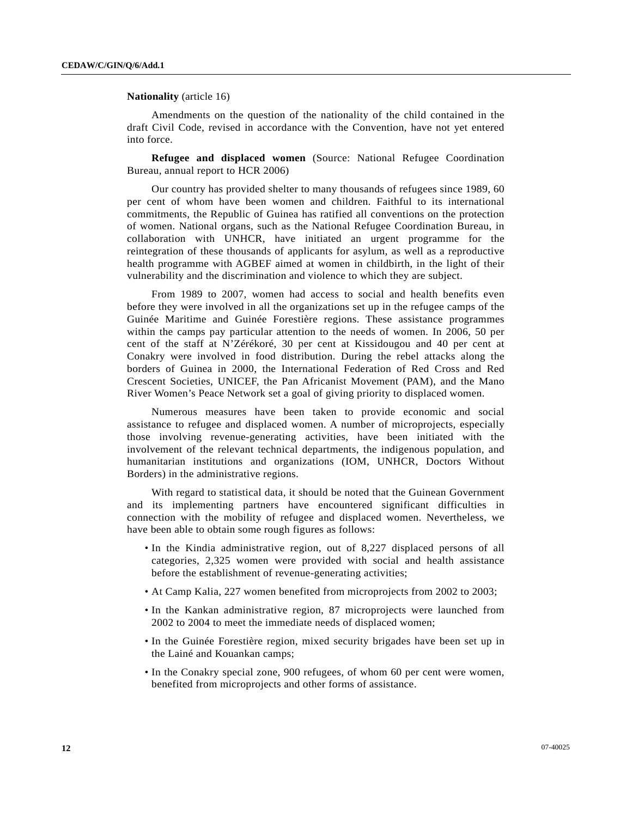### **Nationality** (article 16)

 Amendments on the question of the nationality of the child contained in the draft Civil Code, revised in accordance with the Convention, have not yet entered into force.

**Refugee and displaced women** (Source: National Refugee Coordination Bureau, annual report to HCR 2006)

 Our country has provided shelter to many thousands of refugees since 1989, 60 per cent of whom have been women and children. Faithful to its international commitments, the Republic of Guinea has ratified all conventions on the protection of women. National organs, such as the National Refugee Coordination Bureau, in collaboration with UNHCR, have initiated an urgent programme for the reintegration of these thousands of applicants for asylum, as well as a reproductive health programme with AGBEF aimed at women in childbirth, in the light of their vulnerability and the discrimination and violence to which they are subject.

 From 1989 to 2007, women had access to social and health benefits even before they were involved in all the organizations set up in the refugee camps of the Guinée Maritime and Guinée Forestière regions. These assistance programmes within the camps pay particular attention to the needs of women. In 2006, 50 per cent of the staff at N'Zérékoré, 30 per cent at Kissidougou and 40 per cent at Conakry were involved in food distribution. During the rebel attacks along the borders of Guinea in 2000, the International Federation of Red Cross and Red Crescent Societies, UNICEF, the Pan Africanist Movement (PAM), and the Mano River Women's Peace Network set a goal of giving priority to displaced women.

 Numerous measures have been taken to provide economic and social assistance to refugee and displaced women. A number of microprojects, especially those involving revenue-generating activities, have been initiated with the involvement of the relevant technical departments, the indigenous population, and humanitarian institutions and organizations (IOM, UNHCR, Doctors Without Borders) in the administrative regions.

 With regard to statistical data, it should be noted that the Guinean Government and its implementing partners have encountered significant difficulties in connection with the mobility of refugee and displaced women. Nevertheless, we have been able to obtain some rough figures as follows:

- In the Kindia administrative region, out of 8,227 displaced persons of all categories, 2,325 women were provided with social and health assistance before the establishment of revenue-generating activities;
- At Camp Kalia, 227 women benefited from microprojects from 2002 to 2003;
- In the Kankan administrative region, 87 microprojects were launched from 2002 to 2004 to meet the immediate needs of displaced women;
- In the Guinée Forestière region, mixed security brigades have been set up in the Lainé and Kouankan camps;
- In the Conakry special zone, 900 refugees, of whom 60 per cent were women, benefited from microprojects and other forms of assistance.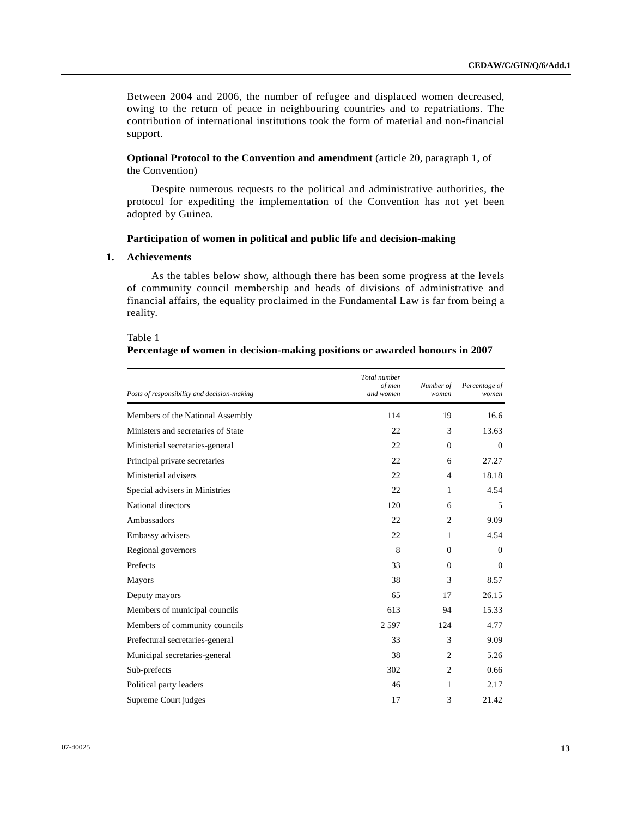Between 2004 and 2006, the number of refugee and displaced women decreased, owing to the return of peace in neighbouring countries and to repatriations. The contribution of international institutions took the form of material and non-financial support.

 **Optional Protocol to the Convention and amendment** (article 20, paragraph 1, of the Convention)

 Despite numerous requests to the political and administrative authorities, the protocol for expediting the implementation of the Convention has not yet been adopted by Guinea.

# **Participation of women in political and public life and decision-making**

# **1. Achievements**

 As the tables below show, although there has been some progress at the levels of community council membership and heads of divisions of administrative and financial affairs, the equality proclaimed in the Fundamental Law is far from being a reality.

| Table 1                                                                     |
|-----------------------------------------------------------------------------|
| Percentage of women in decision-making positions or awarded honours in 2007 |

| Posts of responsibility and decision-making | Total number<br>of men<br>and women | Number of<br>women | Percentage of<br>women |
|---------------------------------------------|-------------------------------------|--------------------|------------------------|
| Members of the National Assembly            | 114                                 | 19                 | 16.6                   |
| Ministers and secretaries of State          | 22                                  | 3                  | 13.63                  |
| Ministerial secretaries-general             | 22                                  | $\Omega$           | $\Omega$               |
| Principal private secretaries               | 22                                  | 6                  | 27.27                  |
| Ministerial advisers                        | 22                                  | $\overline{4}$     | 18.18                  |
| Special advisers in Ministries              | 22                                  | 1                  | 4.54                   |
| National directors                          | 120                                 | 6                  | 5                      |
| Ambassadors                                 | 22                                  | $\overline{c}$     | 9.09                   |
| Embassy advisers                            | 22                                  | 1                  | 4.54                   |
| Regional governors                          | 8                                   | $\Omega$           | $\theta$               |
| Prefects                                    | 33                                  | $\Omega$           | $\overline{0}$         |
| <b>Mayors</b>                               | 38                                  | 3                  | 8.57                   |
| Deputy mayors                               | 65                                  | 17                 | 26.15                  |
| Members of municipal councils               | 613                                 | 94                 | 15.33                  |
| Members of community councils               | 2597                                | 124                | 4.77                   |
| Prefectural secretaries-general             | 33                                  | 3                  | 9.09                   |
| Municipal secretaries-general               | 38                                  | $\overline{c}$     | 5.26                   |
| Sub-prefects                                | 302                                 | $\overline{c}$     | 0.66                   |
| Political party leaders                     | 46                                  | 1                  | 2.17                   |
| Supreme Court judges                        | 17                                  | 3                  | 21.42                  |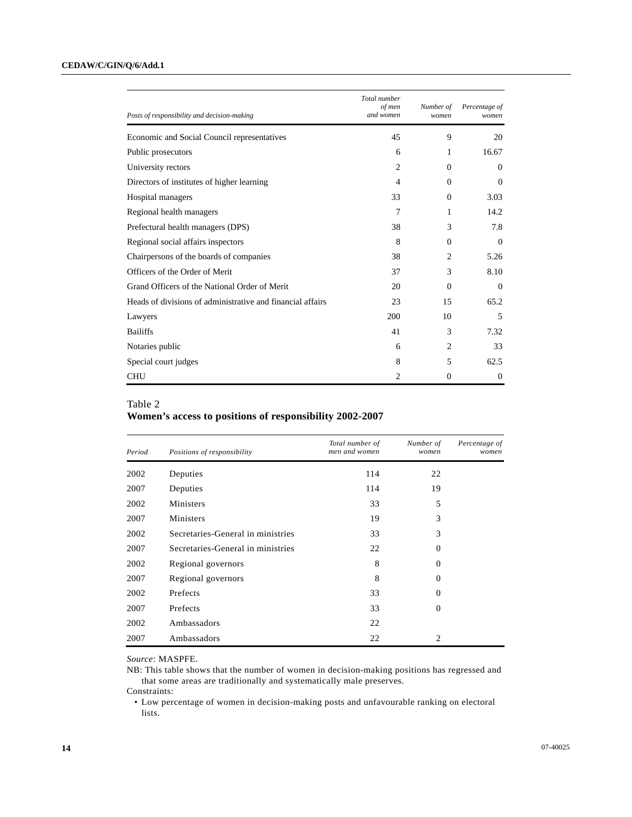| Posts of responsibility and decision-making                | Total number<br>of men<br>and women | Number of<br>women | Percentage of<br>women |
|------------------------------------------------------------|-------------------------------------|--------------------|------------------------|
| Economic and Social Council representatives                | 45                                  | 9                  | 20                     |
| Public prosecutors                                         | 6                                   | 1                  | 16.67                  |
| University rectors                                         | $\overline{c}$                      | $\Omega$           | $\Omega$               |
| Directors of institutes of higher learning                 | $\overline{4}$                      | $\Omega$           | $\overline{0}$         |
| Hospital managers                                          | 33                                  | $\Omega$           | 3.03                   |
| Regional health managers                                   | 7                                   | 1                  | 14.2                   |
| Prefectural health managers (DPS)                          | 38                                  | 3                  | 7.8                    |
| Regional social affairs inspectors                         | 8                                   | $\Omega$           | $\overline{0}$         |
| Chairpersons of the boards of companies                    | 38                                  | $\overline{c}$     | 5.26                   |
| Officers of the Order of Merit                             | 37                                  | 3                  | 8.10                   |
| Grand Officers of the National Order of Merit              | 20                                  | $\Omega$           | $\Omega$               |
| Heads of divisions of administrative and financial affairs | 23                                  | 15                 | 65.2                   |
| Lawyers                                                    | 200                                 | 10                 | 5                      |
| <b>Bailiffs</b>                                            | 41                                  | 3                  | 7.32                   |
| Notaries public                                            | 6                                   | 2                  | 33                     |
| Special court judges                                       | 8                                   | 5                  | 62.5                   |
| <b>CHU</b>                                                 | $\overline{c}$                      | $\Omega$           | $\overline{0}$         |

# Table 2

# **Women's access to positions of responsibility 2002-2007**

| Period | Positions of responsibility       | Total number of<br>men and women | Number of<br>women | Percentage of<br>women |
|--------|-----------------------------------|----------------------------------|--------------------|------------------------|
| 2002   | Deputies                          | 114                              | 22                 |                        |
| 2007   | Deputies                          | 114                              | 19                 |                        |
| 2002   | Ministers                         | 33                               | 5                  |                        |
| 2007   | Ministers                         | 19                               | 3                  |                        |
| 2002   | Secretaries-General in ministries | 33                               | 3                  |                        |
| 2007   | Secretaries-General in ministries | 22                               | $\Omega$           |                        |
| 2002   | Regional governors                | 8                                | $\Omega$           |                        |
| 2007   | Regional governors                | 8                                | $\Omega$           |                        |
| 2002   | Prefects                          | 33                               | $\Omega$           |                        |
| 2007   | Prefects                          | 33                               | $\overline{0}$     |                        |
| 2002   | Ambassadors                       | 22                               |                    |                        |
| 2007   | Ambassadors                       | 22                               | $\overline{c}$     |                        |

*Source*: MASPFE.

NB: This table shows that the number of women in decision-making positions has regressed and that some areas are traditionally and systematically male preserves.

Constraints:

 • Low percentage of women in decision-making posts and unfavourable ranking on electoral lists.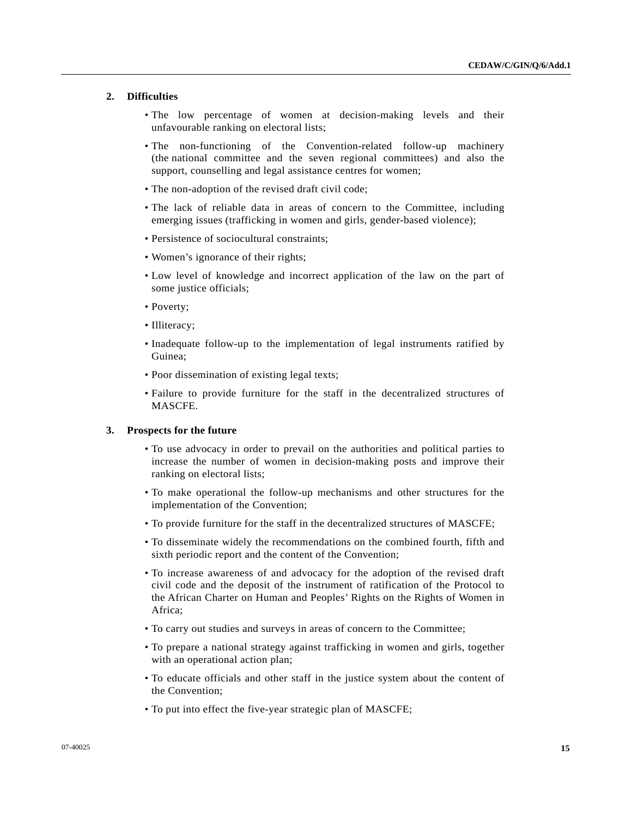# **2. Difficulties**

- The low percentage of women at decision-making levels and their unfavourable ranking on electoral lists;
- The non-functioning of the Convention-related follow-up machinery (the national committee and the seven regional committees) and also the support, counselling and legal assistance centres for women;
- The non-adoption of the revised draft civil code;
- The lack of reliable data in areas of concern to the Committee, including emerging issues (trafficking in women and girls, gender-based violence);
- Persistence of sociocultural constraints;
- Women's ignorance of their rights;
- Low level of knowledge and incorrect application of the law on the part of some justice officials;
- Poverty;
- Illiteracy;
- Inadequate follow-up to the implementation of legal instruments ratified by Guinea;
- Poor dissemination of existing legal texts;
- Failure to provide furniture for the staff in the decentralized structures of MASCFE.

# **3. Prospects for the future**

- To use advocacy in order to prevail on the authorities and political parties to increase the number of women in decision-making posts and improve their ranking on electoral lists;
- To make operational the follow-up mechanisms and other structures for the implementation of the Convention;
- To provide furniture for the staff in the decentralized structures of MASCFE;
- To disseminate widely the recommendations on the combined fourth, fifth and sixth periodic report and the content of the Convention;
- To increase awareness of and advocacy for the adoption of the revised draft civil code and the deposit of the instrument of ratification of the Protocol to the African Charter on Human and Peoples' Rights on the Rights of Women in Africa;
- To carry out studies and surveys in areas of concern to the Committee;
- To prepare a national strategy against trafficking in women and girls, together with an operational action plan;
- To educate officials and other staff in the justice system about the content of the Convention;
- To put into effect the five-year strategic plan of MASCFE;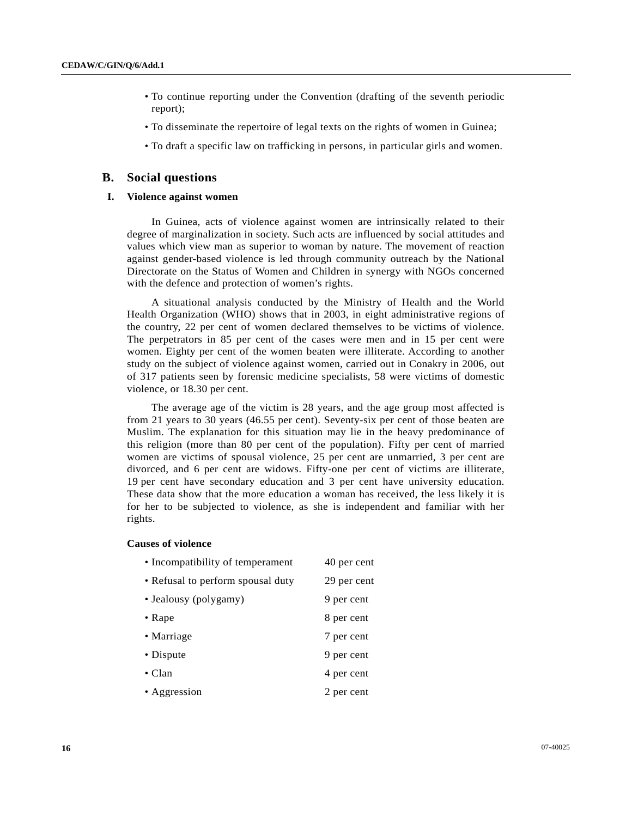- To continue reporting under the Convention (drafting of the seventh periodic report);
- To disseminate the repertoire of legal texts on the rights of women in Guinea;
- To draft a specific law on trafficking in persons, in particular girls and women.

### **B. Social questions**

### **I. Violence against women**

 In Guinea, acts of violence against women are intrinsically related to their degree of marginalization in society. Such acts are influenced by social attitudes and values which view man as superior to woman by nature. The movement of reaction against gender-based violence is led through community outreach by the National Directorate on the Status of Women and Children in synergy with NGOs concerned with the defence and protection of women's rights.

 A situational analysis conducted by the Ministry of Health and the World Health Organization (WHO) shows that in 2003, in eight administrative regions of the country, 22 per cent of women declared themselves to be victims of violence. The perpetrators in 85 per cent of the cases were men and in 15 per cent were women. Eighty per cent of the women beaten were illiterate. According to another study on the subject of violence against women, carried out in Conakry in 2006, out of 317 patients seen by forensic medicine specialists, 58 were victims of domestic violence, or 18.30 per cent.

 The average age of the victim is 28 years, and the age group most affected is from 21 years to 30 years (46.55 per cent). Seventy-six per cent of those beaten are Muslim. The explanation for this situation may lie in the heavy predominance of this religion (more than 80 per cent of the population). Fifty per cent of married women are victims of spousal violence, 25 per cent are unmarried, 3 per cent are divorced, and 6 per cent are widows. Fifty-one per cent of victims are illiterate, 19 per cent have secondary education and 3 per cent have university education. These data show that the more education a woman has received, the less likely it is for her to be subjected to violence, as she is independent and familiar with her rights.

### **Causes of violence**

| • Incompatibility of temperament  | 40 per cent |
|-----------------------------------|-------------|
| • Refusal to perform spousal duty | 29 per cent |
| • Jealousy (polygamy)             | 9 per cent  |
| $\bullet$ Rape                    | 8 per cent  |
| • Marriage                        | 7 per cent  |
| • Dispute                         | 9 per cent  |
| $\bullet$ Clan                    | 4 per cent  |
| • Aggression                      | 2 per cent  |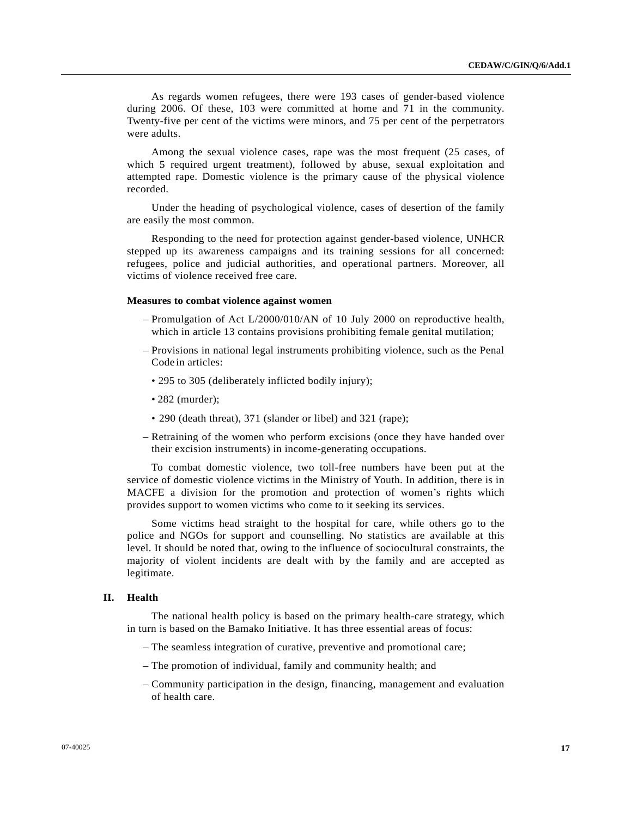As regards women refugees, there were 193 cases of gender-based violence during 2006. Of these, 103 were committed at home and 71 in the community. Twenty-five per cent of the victims were minors, and 75 per cent of the perpetrators were adults.

 Among the sexual violence cases, rape was the most frequent (25 cases, of which 5 required urgent treatment), followed by abuse, sexual exploitation and attempted rape. Domestic violence is the primary cause of the physical violence recorded.

 Under the heading of psychological violence, cases of desertion of the family are easily the most common.

 Responding to the need for protection against gender-based violence, UNHCR stepped up its awareness campaigns and its training sessions for all concerned: refugees, police and judicial authorities, and operational partners. Moreover, all victims of violence received free care.

# **Measures to combat violence against women**

- Promulgation of Act L/2000/010/AN of 10 July 2000 on reproductive health, which in article 13 contains provisions prohibiting female genital mutilation;
- Provisions in national legal instruments prohibiting violence, such as the Penal Code in articles:
	- 295 to 305 (deliberately inflicted bodily injury);
	- 282 (murder);
	- 290 (death threat), 371 (slander or libel) and 321 (rape);
- Retraining of the women who perform excisions (once they have handed over their excision instruments) in income-generating occupations.

 To combat domestic violence, two toll-free numbers have been put at the service of domestic violence victims in the Ministry of Youth. In addition, there is in MACFE a division for the promotion and protection of women's rights which provides support to women victims who come to it seeking its services.

 Some victims head straight to the hospital for care, while others go to the police and NGOs for support and counselling. No statistics are available at this level. It should be noted that, owing to the influence of sociocultural constraints, the majority of violent incidents are dealt with by the family and are accepted as legitimate.

# **II. Health**

 The national health policy is based on the primary health-care strategy, which in turn is based on the Bamako Initiative. It has three essential areas of focus:

- The seamless integration of curative, preventive and promotional care;
- The promotion of individual, family and community health; and
- Community participation in the design, financing, management and evaluation of health care.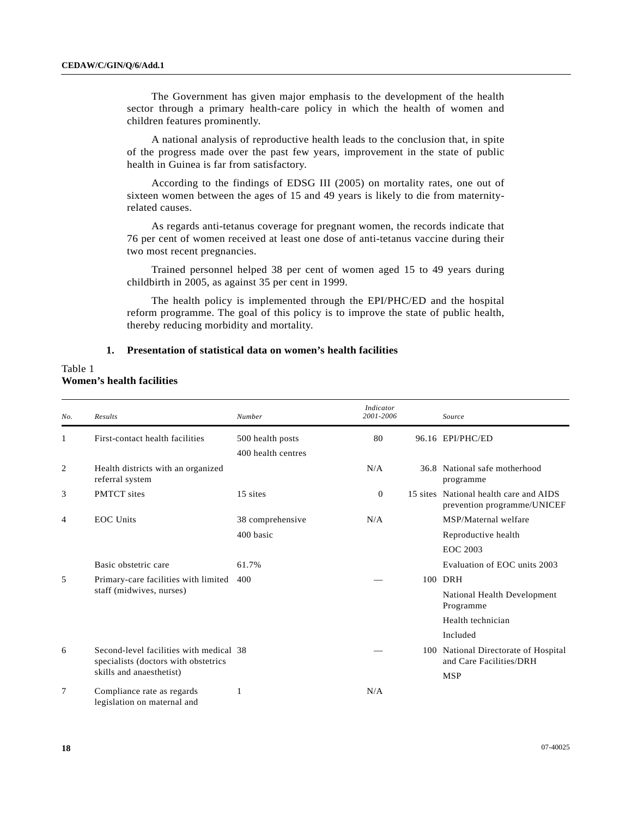The Government has given major emphasis to the development of the health sector through a primary health-care policy in which the health of women and children features prominently.

 A national analysis of reproductive health leads to the conclusion that, in spite of the progress made over the past few years, improvement in the state of public health in Guinea is far from satisfactory.

 According to the findings of EDSG III (2005) on mortality rates, one out of sixteen women between the ages of 15 and 49 years is likely to die from maternityrelated causes.

 As regards anti-tetanus coverage for pregnant women, the records indicate that 76 per cent of women received at least one dose of anti-tetanus vaccine during their two most recent pregnancies.

 Trained personnel helped 38 per cent of women aged 15 to 49 years during childbirth in 2005, as against 35 per cent in 1999.

 The health policy is implemented through the EPI/PHC/ED and the hospital reform programme. The goal of this policy is to improve the state of public health, thereby reducing morbidity and mortality.

# **1. Presentation of statistical data on women's health facilities**

# Table 1 **Women's health facilities**

| No.            | Results                                                                         | Number                                 | <b>Indicator</b><br>2001-2006 | Source                                                                |
|----------------|---------------------------------------------------------------------------------|----------------------------------------|-------------------------------|-----------------------------------------------------------------------|
| 1              | First-contact health facilities                                                 | 500 health posts<br>400 health centres | 80                            | 96.16 EPI/PHC/ED                                                      |
| 2              | Health districts with an organized<br>referral system                           |                                        | N/A                           | 36.8 National safe motherhood<br>programme                            |
| 3              | <b>PMTCT</b> sites                                                              | 15 sites                               | $\Omega$                      | 15 sites National health care and AIDS<br>prevention programme/UNICEF |
| $\overline{4}$ | <b>EOC</b> Units                                                                | 38 comprehensive                       | N/A                           | MSP/Maternal welfare                                                  |
|                |                                                                                 | 400 basic                              |                               | Reproductive health                                                   |
|                |                                                                                 |                                        |                               | <b>EOC 2003</b>                                                       |
|                | Basic obstetric care                                                            | 61.7%                                  |                               | Evaluation of EOC units 2003                                          |
| 5              | Primary-care facilities with limited                                            | 400                                    |                               | 100 DRH                                                               |
|                | staff (midwives, nurses)                                                        |                                        |                               | National Health Development<br>Programme                              |
|                |                                                                                 |                                        |                               | Health technician                                                     |
|                |                                                                                 |                                        |                               | Included                                                              |
| 6              | Second-level facilities with medical 38<br>specialists (doctors with obstetrics |                                        |                               | 100 National Directorate of Hospital<br>and Care Facilities/DRH       |
|                | skills and anaesthetist)                                                        |                                        |                               | <b>MSP</b>                                                            |
| 7              | Compliance rate as regards<br>legislation on maternal and                       | 1                                      | N/A                           |                                                                       |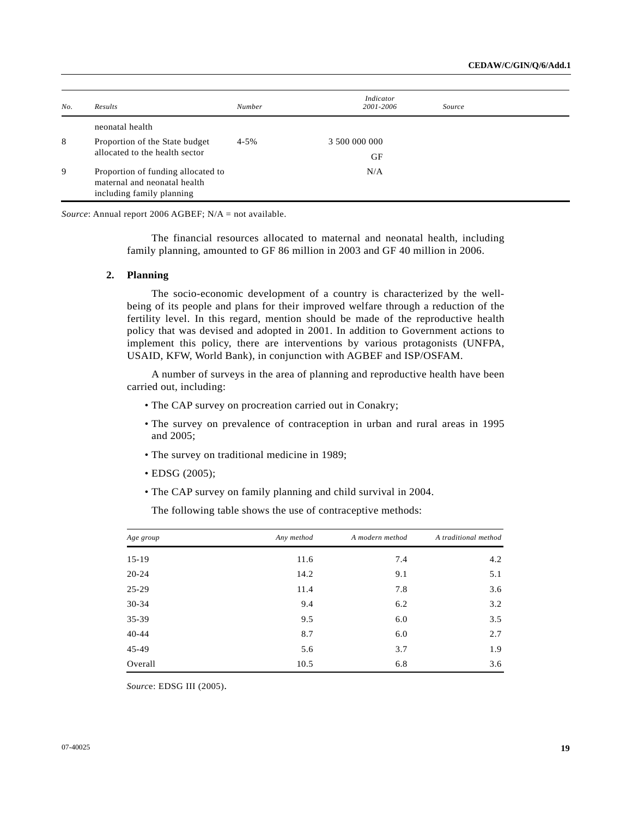| No. | Results                                                                                         | <b>Number</b> | Indicator<br>2001-2006 | Source |
|-----|-------------------------------------------------------------------------------------------------|---------------|------------------------|--------|
|     | neonatal health                                                                                 |               |                        |        |
| 8   | Proportion of the State budget                                                                  | $4 - 5\%$     | 3 500 000 000          |        |
|     | allocated to the health sector                                                                  |               | GF                     |        |
| 9   | Proportion of funding allocated to<br>maternal and neonatal health<br>including family planning |               | N/A                    |        |

*Source*: Annual report 2006 AGBEF; N/A = not available.

 The financial resources allocated to maternal and neonatal health, including family planning, amounted to GF 86 million in 2003 and GF 40 million in 2006.

### **2. Planning**

 The socio-economic development of a country is characterized by the wellbeing of its people and plans for their improved welfare through a reduction of the fertility level. In this regard, mention should be made of the reproductive health policy that was devised and adopted in 2001. In addition to Government actions to implement this policy, there are interventions by various protagonists (UNFPA, USAID, KFW, World Bank), in conjunction with AGBEF and ISP/OSFAM.

 A number of surveys in the area of planning and reproductive health have been carried out, including:

- The CAP survey on procreation carried out in Conakry;
- The survey on prevalence of contraception in urban and rural areas in 1995 and 2005;
- The survey on traditional medicine in 1989;
- EDSG (2005);
- The CAP survey on family planning and child survival in 2004.

The following table shows the use of contraceptive methods:

| Age group | Any method | A modern method | A traditional method |
|-----------|------------|-----------------|----------------------|
| $15-19$   | 11.6       | 7.4             | 4.2                  |
| $20 - 24$ | 14.2       | 9.1             | 5.1                  |
| $25-29$   | 11.4       | 7.8             | 3.6                  |
| $30 - 34$ | 9.4        | 6.2             | 3.2                  |
| $35 - 39$ | 9.5        | 6.0             | 3.5                  |
| $40 - 44$ | 8.7        | 6.0             | 2.7                  |
| 45-49     | 5.6        | 3.7             | 1.9                  |
| Overall   | 10.5       | 6.8             | 3.6                  |

*Sourc*e: EDSG III (2005).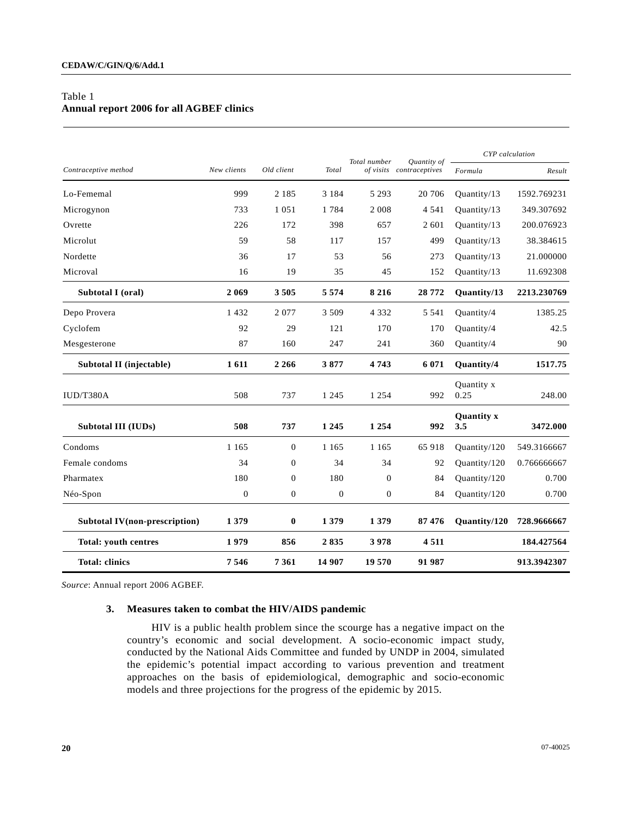# Table 1 **Annual report 2006 for all AGBEF clinics**

|                                      |              |                  |                  | Total number | <b>Ouantity</b> of       | <b>CYP</b> calculation   |             |
|--------------------------------------|--------------|------------------|------------------|--------------|--------------------------|--------------------------|-------------|
| Contraceptive method                 | New clients  | Old client       | Total            |              | of visits contraceptives | Formula                  | Result      |
| Lo-Fememal                           | 999          | 2 1 8 5          | 3 1 8 4          | 5 2 9 3      | 20 70 6                  | Quantity/13              | 1592.769231 |
| Microgynon                           | 733          | 1 0 5 1          | 1784             | 2 0 0 8      | 4 5 4 1                  | Ouantity/13              | 349.307692  |
| Ovrette                              | 226          | 172              | 398              | 657          | 2 601                    | Quantity/13              | 200.076923  |
| Microlut                             | 59           | 58               | 117              | 157          | 499                      | Quantity/13              | 38.384615   |
| Nordette                             | 36           | 17               | 53               | 56           | 273                      | Quantity/13              | 21.000000   |
| Microval                             | 16           | 19               | 35               | 45           | 152                      | Quantity/13              | 11.692308   |
| Subtotal I (oral)                    | 2 0 6 9      | 3505             | 5 5 7 4          | 8 2 1 6      | 28 772                   | Quantity/13              | 2213.230769 |
| Depo Provera                         | 1432         | 2077             | 3 5 0 9          | 4 3 3 2      | 5 5 4 1                  | Quantity/4               | 1385.25     |
| Cyclofem                             | 92           | 29               | 121              | 170          | 170                      | Quantity/4               | 42.5        |
| Mesgesterone                         | 87           | 160              | 247              | 241          | 360                      | Quantity/4               | 90          |
| Subtotal II (injectable)             | 1611         | 2 2 6 6          | 3877             | 4 7 4 3      | 6 0 7 1                  | Quantity/4               | 1517.75     |
| IUD/T380A                            | 508          | 737              | 1 2 4 5          | 1 2 5 4      | 992                      | Quantity x<br>0.25       | 248.00      |
| Subtotal III (IUDs)                  | 508          | 737              | 1 2 4 5          | 1 2 5 4      | 992                      | <b>Quantity x</b><br>3.5 | 3472.000    |
| Condoms                              | 1 1 6 5      | $\boldsymbol{0}$ | 1 1 6 5          | 1 1 6 5      | 65 918                   | Quantity/120             | 549.3166667 |
| Female condoms                       | 34           | $\boldsymbol{0}$ | 34               | 34           | 92                       | Quantity/120             | 0.766666667 |
| Pharmatex                            | 180          | $\boldsymbol{0}$ | 180              | $\mathbf{0}$ | 84                       | Quantity/120             | 0.700       |
| Néo-Spon                             | $\mathbf{0}$ | $\mathbf{0}$     | $\boldsymbol{0}$ | $\mathbf{0}$ | 84                       | Quantity/120             | 0.700       |
| <b>Subtotal IV(non-prescription)</b> | 1 3 7 9      | $\bf{0}$         | 1 3 7 9          | 1 3 7 9      | 87 476                   | Quantity/120             | 728.9666667 |
| <b>Total: youth centres</b>          | 1979         | 856              | 2835             | 3978         | 4511                     |                          | 184.427564  |
| <b>Total: clinics</b>                | 7 5 4 6      | 7 3 6 1          | 14 907           | 19 570       | 91 987                   |                          | 913.3942307 |

*Source*: Annual report 2006 AGBEF.

# **3. Measures taken to combat the HIV/AIDS pandemic**

 HIV is a public health problem since the scourge has a negative impact on the country's economic and social development. A socio-economic impact study, conducted by the National Aids Committee and funded by UNDP in 2004, simulated the epidemic's potential impact according to various prevention and treatment approaches on the basis of epidemiological, demographic and socio-economic models and three projections for the progress of the epidemic by 2015.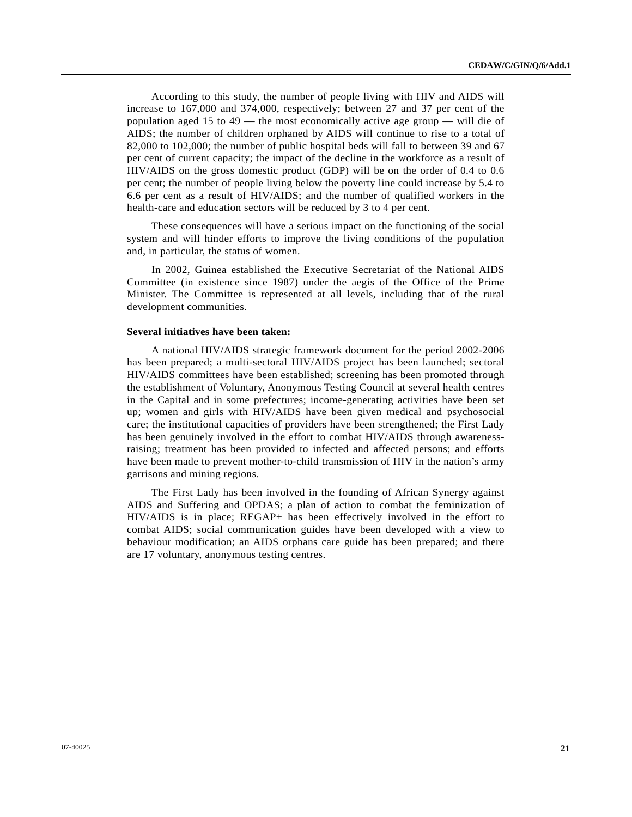According to this study, the number of people living with HIV and AIDS will increase to 167,000 and 374,000, respectively; between 27 and 37 per cent of the population aged 15 to 49 — the most economically active age group — will die of AIDS; the number of children orphaned by AIDS will continue to rise to a total of 82,000 to 102,000; the number of public hospital beds will fall to between 39 and 67 per cent of current capacity; the impact of the decline in the workforce as a result of HIV/AIDS on the gross domestic product (GDP) will be on the order of 0.4 to 0.6 per cent; the number of people living below the poverty line could increase by 5.4 to 6.6 per cent as a result of HIV/AIDS; and the number of qualified workers in the health-care and education sectors will be reduced by 3 to 4 per cent.

 These consequences will have a serious impact on the functioning of the social system and will hinder efforts to improve the living conditions of the population and, in particular, the status of women.

 In 2002, Guinea established the Executive Secretariat of the National AIDS Committee (in existence since 1987) under the aegis of the Office of the Prime Minister. The Committee is represented at all levels, including that of the rural development communities.

### **Several initiatives have been taken:**

 A national HIV/AIDS strategic framework document for the period 2002-2006 has been prepared; a multi-sectoral HIV/AIDS project has been launched; sectoral HIV/AIDS committees have been established; screening has been promoted through the establishment of Voluntary, Anonymous Testing Council at several health centres in the Capital and in some prefectures; income-generating activities have been set up; women and girls with HIV/AIDS have been given medical and psychosocial care; the institutional capacities of providers have been strengthened; the First Lady has been genuinely involved in the effort to combat HIV/AIDS through awarenessraising; treatment has been provided to infected and affected persons; and efforts have been made to prevent mother-to-child transmission of HIV in the nation's army garrisons and mining regions.

 The First Lady has been involved in the founding of African Synergy against AIDS and Suffering and OPDAS; a plan of action to combat the feminization of HIV/AIDS is in place; REGAP+ has been effectively involved in the effort to combat AIDS; social communication guides have been developed with a view to behaviour modification; an AIDS orphans care guide has been prepared; and there are 17 voluntary, anonymous testing centres.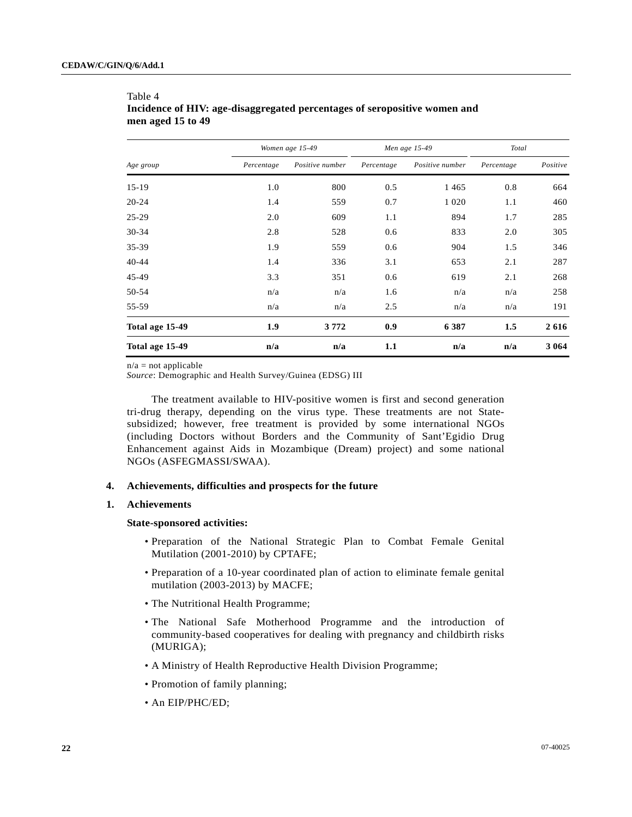|                 |            | Women age 15-49 |            | Men age 15-49   | Total      |          |
|-----------------|------------|-----------------|------------|-----------------|------------|----------|
| Age group       | Percentage | Positive number | Percentage | Positive number | Percentage | Positive |
| $15-19$         | 1.0        | 800             | 0.5        | 1 4 6 5         | 0.8        | 664      |
| $20 - 24$       | 1.4        | 559             | 0.7        | 1 0 2 0         | 1.1        | 460      |
| $25 - 29$       | 2.0        | 609             | 1.1        | 894             | 1.7        | 285      |
| $30 - 34$       | 2.8        | 528             | 0.6        | 833             | 2.0        | 305      |
| $35 - 39$       | 1.9        | 559             | 0.6        | 904             | 1.5        | 346      |
| $40 - 44$       | 1.4        | 336             | 3.1        | 653             | 2.1        | 287      |
| $45-49$         | 3.3        | 351             | 0.6        | 619             | 2.1        | 268      |
| 50-54           | n/a        | n/a             | 1.6        | n/a             | n/a        | 258      |
| 55-59           | n/a        | n/a             | 2.5        | n/a             | n/a        | 191      |
| Total age 15-49 | 1.9        | 3772            | 0.9        | 6 3 8 7         | 1.5        | 2616     |
| Total age 15-49 | n/a        | n/a             | 1.1        | n/a             | n/a        | 3 0 6 4  |

# Table 4  **Incidence of HIV: age-disaggregated percentages of seropositive women and men aged 15 to 49**

 $n/a$  = not applicable

*Source*: Demographic and Health Survey/Guinea (EDSG) III

 The treatment available to HIV-positive women is first and second generation tri-drug therapy, depending on the virus type. These treatments are not Statesubsidized; however, free treatment is provided by some international NGOs (including Doctors without Borders and the Community of Sant'Egidio Drug Enhancement against Aids in Mozambique (Dream) project) and some national NGOs (ASFEGMASSI/SWAA).

# **4. Achievements, difficulties and prospects for the future**

# **1. Achievements**

### **State-sponsored activities:**

- Preparation of the National Strategic Plan to Combat Female Genital Mutilation (2001-2010) by CPTAFE;
- Preparation of a 10-year coordinated plan of action to eliminate female genital mutilation (2003-2013) by MACFE;
- The Nutritional Health Programme;
- The National Safe Motherhood Programme and the introduction of community-based cooperatives for dealing with pregnancy and childbirth risks (MURIGA);
- A Ministry of Health Reproductive Health Division Programme;
- Promotion of family planning;
- An EIP/PHC/ED;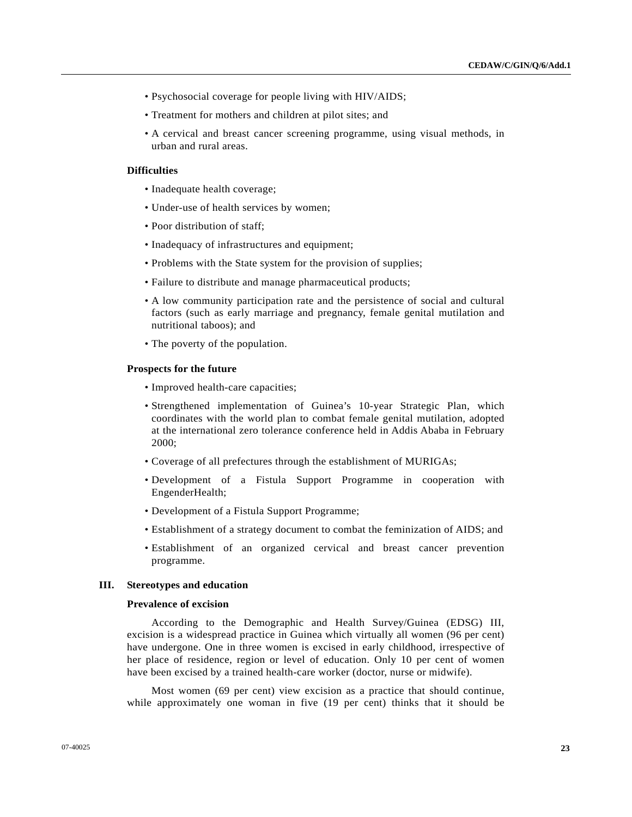- Psychosocial coverage for people living with HIV/AIDS;
- Treatment for mothers and children at pilot sites; and
- A cervical and breast cancer screening programme, using visual methods, in urban and rural areas.

# **Difficulties**

- Inadequate health coverage;
- Under-use of health services by women;
- Poor distribution of staff;
- Inadequacy of infrastructures and equipment;
- Problems with the State system for the provision of supplies;
- Failure to distribute and manage pharmaceutical products;
- A low community participation rate and the persistence of social and cultural factors (such as early marriage and pregnancy, female genital mutilation and nutritional taboos); and
- The poverty of the population.

### **Prospects for the future**

- Improved health-care capacities;
- Strengthened implementation of Guinea's 10-year Strategic Plan, which coordinates with the world plan to combat female genital mutilation, adopted at the international zero tolerance conference held in Addis Ababa in February 2000;
- Coverage of all prefectures through the establishment of MURIGAs;
- Development of a Fistula Support Programme in cooperation with EngenderHealth;
- Development of a Fistula Support Programme;
- Establishment of a strategy document to combat the feminization of AIDS; and
- Establishment of an organized cervical and breast cancer prevention programme.

### **III. Stereotypes and education**

### **Prevalence of excision**

 According to the Demographic and Health Survey/Guinea (EDSG) III, excision is a widespread practice in Guinea which virtually all women (96 per cent) have undergone. One in three women is excised in early childhood, irrespective of her place of residence, region or level of education. Only 10 per cent of women have been excised by a trained health-care worker (doctor, nurse or midwife).

 Most women (69 per cent) view excision as a practice that should continue, while approximately one woman in five (19 per cent) thinks that it should be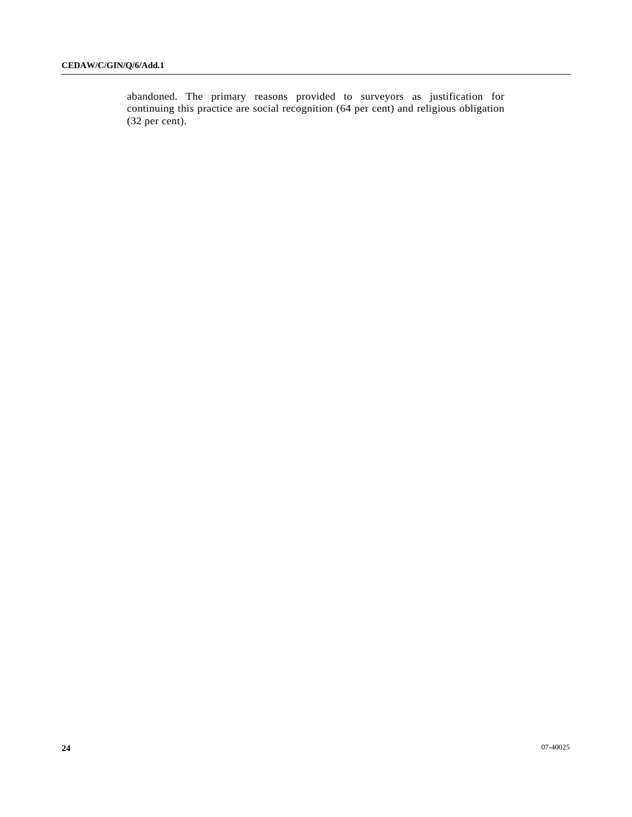abandoned. The primary reasons provided to surveyors as justification for continuing this practice are social recognition (64 per cent) and religious obligation (32 per cent).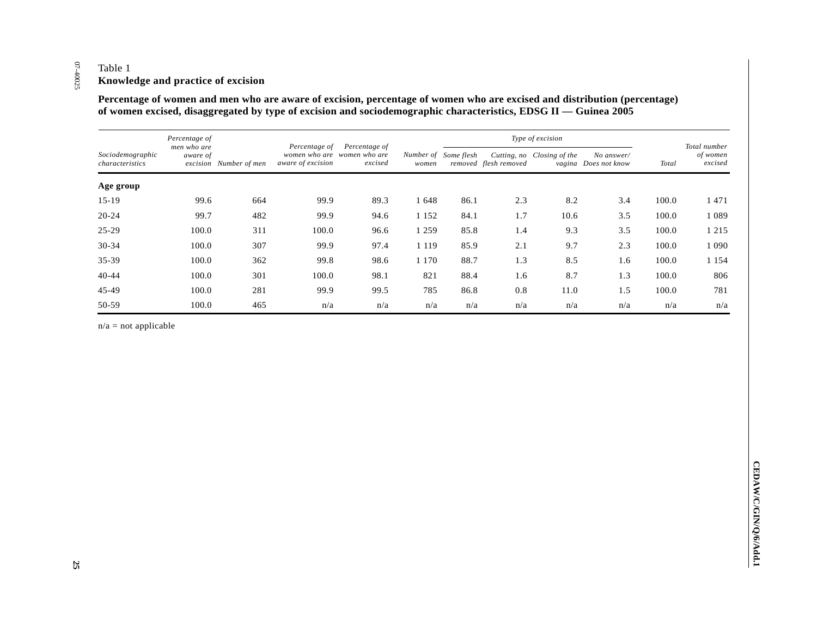|                                     | Percentage of           |                        |                                    |                                              | Number of Some flesh<br>excised<br>women | Type of excision        |                         |                            |                                    |                         |                                     |
|-------------------------------------|-------------------------|------------------------|------------------------------------|----------------------------------------------|------------------------------------------|-------------------------|-------------------------|----------------------------|------------------------------------|-------------------------|-------------------------------------|
| Sociodemographic<br>characteristics | men who are<br>aware of | excision Number of men | Percentage of<br>aware of excision | Percentage of<br>women who are women who are |                                          |                         | removed flesh removed   | Cutting, no Closing of the | No answer/<br>vagina Does not know | <b>Total</b>            | Total number<br>of women<br>excised |
| Age group                           |                         |                        |                                    |                                              |                                          |                         |                         |                            |                                    |                         |                                     |
| $15 - 19$                           | 99.6                    | 664                    | 99.9                               | 89.3                                         | 1648                                     | 86.1                    | $2.3\,$                 | $8.2\,$                    | 3.4                                | 100.0                   | 1471                                |
| $20 - 24$                           | 99.7                    | 482                    | 99.9                               | 94.6                                         | 1 1 5 2                                  | 84.1                    | 1.7                     | 10.6                       | $3.5\,$                            | 100.0                   | 1 0 8 9                             |
| $25 - 29$                           | 100.0                   | 311                    | 100.0                              | 96.6                                         | 1 2 5 9                                  | 85.8                    | $1.4\,$                 | 9.3                        | 3.5                                | 100.0                   | 1 2 1 5                             |
| 30-34                               | 100.0                   | 307                    | 99.9                               | 97.4                                         | 1 1 1 9                                  | 85.9                    | 2.1                     | 9.7                        | 2.3                                | 100.0                   | 1 0 9 0                             |
| 35-39                               | 100.0                   | 362                    | 99.8                               | 98.6                                         | 1 1 7 0                                  | 88.7                    | $1.3\,$                 | $8.5\,$                    | 1.6                                | 100.0                   | 1 1 5 4                             |
| $40 - 44$                           | $100.0\,$               | 301                    | 100.0                              | 98.1                                         | 821                                      | 88.4                    | 1.6                     | 8.7                        | 1.3                                | $100.0\,$               | 806                                 |
| 45-49                               | $100.0\,$               | 281                    | 99.9                               | 99.5                                         | 785                                      | 86.8                    | $\rm 0.8$               | $11.0\,$                   | $1.5\,$                            | 100.0                   | 781                                 |
| 50-59                               | 100.0                   | 465                    | $\mathrm{n}/\mathrm{a}$            | $\mathrm{n}/\mathrm{a}$                      | $\mathrm{n}/\mathrm{a}$                  | $\mathrm{n}/\mathrm{a}$ | $\mathrm{n}/\mathrm{a}$ | $\mathrm{n}/\mathrm{a}$    | $\mathrm{n}/\mathrm{a}$            | $\mathrm{n}/\mathrm{a}$ | $\mathrm{n}/\mathrm{a}$             |
|                                     |                         |                        |                                    |                                              |                                          |                         |                         |                            |                                    |                         |                                     |

07-40025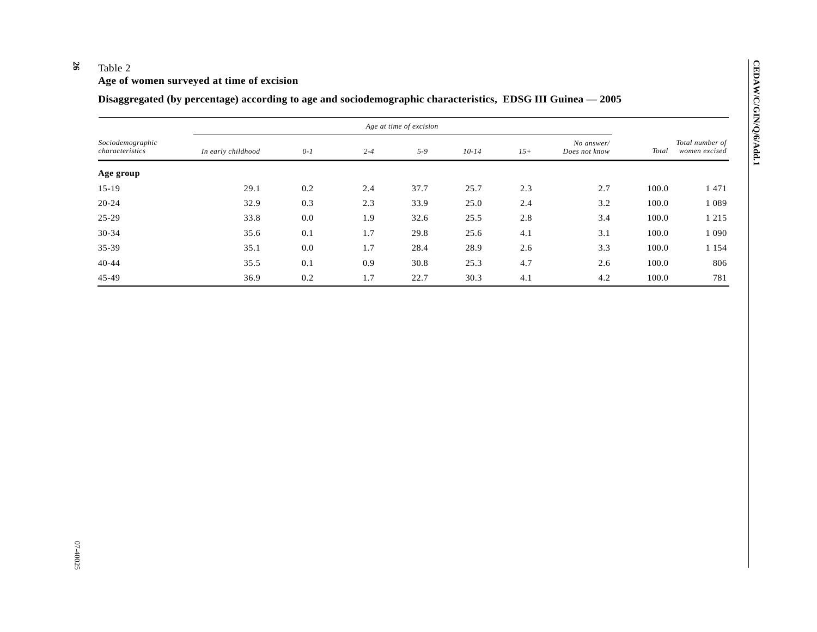#### **26**  Table 2

# **Age of women surveyed at time of excision**

# **Disaggregated (by percentage) according to age and sociodemographic characteristics, EDSG III Guinea — 2005**

|                                     |                    |       |         | Age at time of excision |         |       |                             |              |                                  |
|-------------------------------------|--------------------|-------|---------|-------------------------|---------|-------|-----------------------------|--------------|----------------------------------|
| Sociodemographic<br>characteristics | In early childhood | $0-1$ | $2 - 4$ | $5 - 9$                 | $10-14$ | $15+$ | No answer/<br>Does not know | <b>Total</b> | Total number of<br>women excised |
| Age group                           |                    |       |         |                         |         |       |                             |              |                                  |
| $15-19$                             | 29.1               | 0.2   | 2.4     | 37.7                    | 25.7    | 2.3   | 2.7                         | 100.0        | 1471                             |
| $20 - 24$                           | 32.9               | 0.3   | 2.3     | 33.9                    | 25.0    | 2.4   | 3.2                         | 100.0        | 1 0 8 9                          |
| $25-29$                             | 33.8               | 0.0   | 1.9     | 32.6                    | 25.5    | 2.8   | 3.4                         | 100.0        | 1 2 1 5                          |
| $30 - 34$                           | 35.6               | 0.1   | 1.7     | 29.8                    | 25.6    | 4.1   | 3.1                         | 100.0        | 1 0 9 0                          |
| $35 - 39$                           | 35.1               | 0.0   | 1.7     | 28.4                    | 28.9    | 2.6   | 3.3                         | 100.0        | 1 1 5 4                          |
| $40 - 44$                           | 35.5               | 0.1   | 0.9     | 30.8                    | 25.3    | 4.7   | 2.6                         | 100.0        | 806                              |
| $45 - 49$                           | 36.9               | 0.2   | 1.7     | 22.7                    | 30.3    | 4.1   | 4.2                         | 100.0        | 781                              |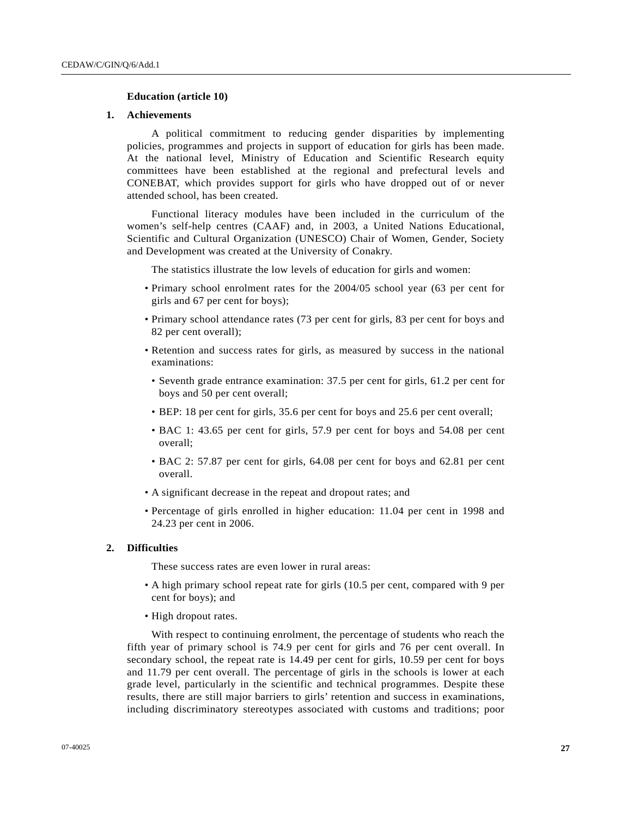### **Education (article 10)**

### **1. Achievements**

 A political commitment to reducing gender disparities by implementing policies, programmes and projects in support of education for girls has been made. At the national level, Ministry of Education and Scientific Research equity committees have been established at the regional and prefectural levels and CONEBAT, which provides support for girls who have dropped out of or never attended school, has been created.

 Functional literacy modules have been included in the curriculum of the women's self-help centres (CAAF) and, in 2003, a United Nations Educational, Scientific and Cultural Organization (UNESCO) Chair of Women, Gender, Society and Development was created at the University of Conakry.

The statistics illustrate the low levels of education for girls and women:

- Primary school enrolment rates for the 2004/05 school year (63 per cent for girls and 67 per cent for boys);
- Primary school attendance rates (73 per cent for girls, 83 per cent for boys and 82 per cent overall);
- Retention and success rates for girls, as measured by success in the national examinations:
	- Seventh grade entrance examination: 37.5 per cent for girls, 61.2 per cent for boys and 50 per cent overall;
	- BEP: 18 per cent for girls, 35.6 per cent for boys and 25.6 per cent overall;
	- BAC 1: 43.65 per cent for girls, 57.9 per cent for boys and 54.08 per cent overall;
	- BAC 2: 57.87 per cent for girls, 64.08 per cent for boys and 62.81 per cent overall.
- A significant decrease in the repeat and dropout rates; and
- Percentage of girls enrolled in higher education: 11.04 per cent in 1998 and 24.23 per cent in 2006.

### **2. Difficulties**

These success rates are even lower in rural areas:

- A high primary school repeat rate for girls (10.5 per cent, compared with 9 per cent for boys); and
- High dropout rates.

 With respect to continuing enrolment, the percentage of students who reach the fifth year of primary school is 74.9 per cent for girls and 76 per cent overall. In secondary school, the repeat rate is 14.49 per cent for girls, 10.59 per cent for boys and 11.79 per cent overall. The percentage of girls in the schools is lower at each grade level, particularly in the scientific and technical programmes. Despite these results, there are still major barriers to girls' retention and success in examinations, including discriminatory stereotypes associated with customs and traditions; poor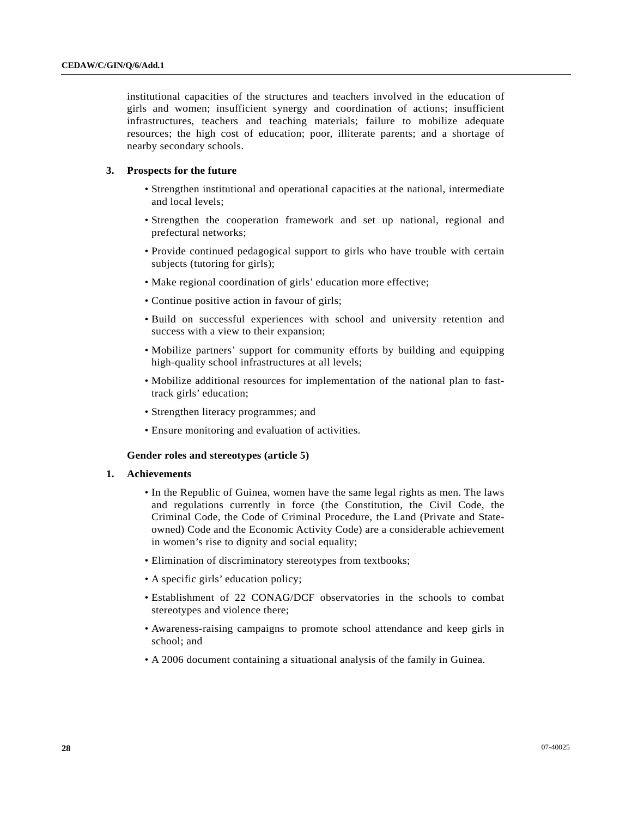institutional capacities of the structures and teachers involved in the education of girls and women; insufficient synergy and coordination of actions; insufficient infrastructures, teachers and teaching materials; failure to mobilize adequate resources; the high cost of education; poor, illiterate parents; and a shortage of nearby secondary schools.

# **3. Prospects for the future**

- Strengthen institutional and operational capacities at the national, intermediate and local levels;
- Strengthen the cooperation framework and set up national, regional and prefectural networks;
- Provide continued pedagogical support to girls who have trouble with certain subjects (tutoring for girls);
- Make regional coordination of girls' education more effective;
- Continue positive action in favour of girls;
- Build on successful experiences with school and university retention and success with a view to their expansion;
- Mobilize partners' support for community efforts by building and equipping high-quality school infrastructures at all levels;
- Mobilize additional resources for implementation of the national plan to fasttrack girls' education;
- Strengthen literacy programmes; and
- Ensure monitoring and evaluation of activities.

# **Gender roles and stereotypes (article 5)**

# **1. Achievements**

- In the Republic of Guinea, women have the same legal rights as men. The laws and regulations currently in force (the Constitution, the Civil Code, the Criminal Code, the Code of Criminal Procedure, the Land (Private and Stateowned) Code and the Economic Activity Code) are a considerable achievement in women's rise to dignity and social equality;
- Elimination of discriminatory stereotypes from textbooks;
- A specific girls' education policy;
- Establishment of 22 CONAG/DCF observatories in the schools to combat stereotypes and violence there;
- Awareness-raising campaigns to promote school attendance and keep girls in school; and
- A 2006 document containing a situational analysis of the family in Guinea.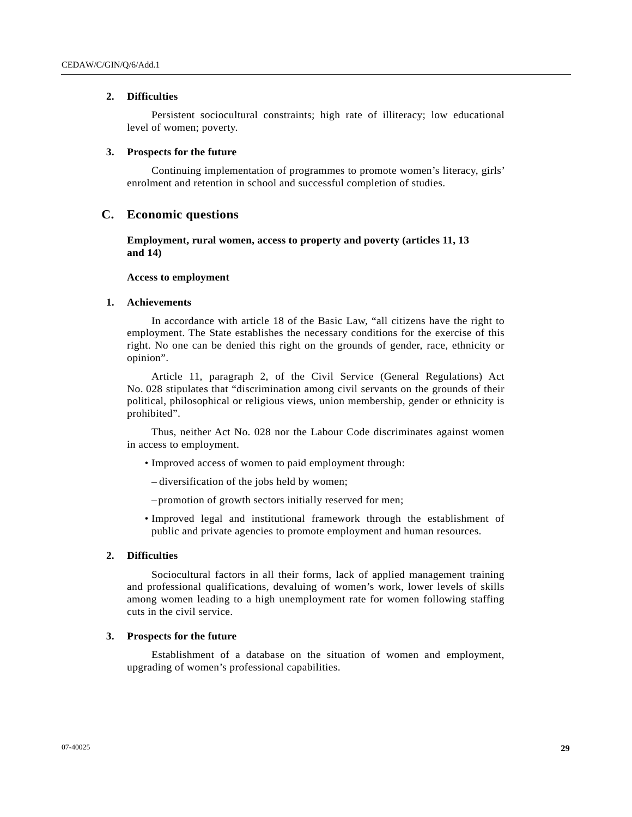### **2. Difficulties**

 Persistent sociocultural constraints; high rate of illiteracy; low educational level of women; poverty.

### **3. Prospects for the future**

 Continuing implementation of programmes to promote women's literacy, girls' enrolment and retention in school and successful completion of studies.

# **C. Economic questions**

 **Employment, rural women, access to property and poverty (articles 11, 13 and 14)** 

### **Access to employment**

### **1. Achievements**

 In accordance with article 18 of the Basic Law, "all citizens have the right to employment. The State establishes the necessary conditions for the exercise of this right. No one can be denied this right on the grounds of gender, race, ethnicity or opinion".

 Article 11, paragraph 2, of the Civil Service (General Regulations) Act No. 028 stipulates that "discrimination among civil servants on the grounds of their political, philosophical or religious views, union membership, gender or ethnicity is prohibited".

 Thus, neither Act No. 028 nor the Labour Code discriminates against women in access to employment.

- Improved access of women to paid employment through:
	- diversification of the jobs held by women;
	- promotion of growth sectors initially reserved for men;
- Improved legal and institutional framework through the establishment of public and private agencies to promote employment and human resources.

# **2. Difficulties**

 Sociocultural factors in all their forms, lack of applied management training and professional qualifications, devaluing of women's work, lower levels of skills among women leading to a high unemployment rate for women following staffing cuts in the civil service.

### **3. Prospects for the future**

 Establishment of a database on the situation of women and employment, upgrading of women's professional capabilities.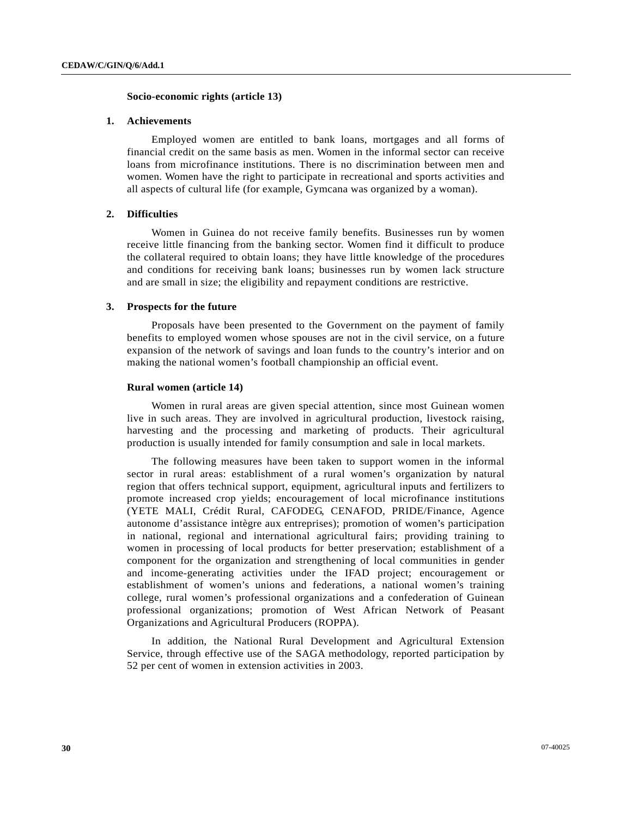### **Socio-economic rights (article 13)**

### **1. Achievements**

 Employed women are entitled to bank loans, mortgages and all forms of financial credit on the same basis as men. Women in the informal sector can receive loans from microfinance institutions. There is no discrimination between men and women. Women have the right to participate in recreational and sports activities and all aspects of cultural life (for example, Gymcana was organized by a woman).

### **2. Difficulties**

 Women in Guinea do not receive family benefits. Businesses run by women receive little financing from the banking sector. Women find it difficult to produce the collateral required to obtain loans; they have little knowledge of the procedures and conditions for receiving bank loans; businesses run by women lack structure and are small in size; the eligibility and repayment conditions are restrictive.

### **3. Prospects for the future**

 Proposals have been presented to the Government on the payment of family benefits to employed women whose spouses are not in the civil service, on a future expansion of the network of savings and loan funds to the country's interior and on making the national women's football championship an official event.

### **Rural women (article 14)**

 Women in rural areas are given special attention, since most Guinean women live in such areas. They are involved in agricultural production, livestock raising, harvesting and the processing and marketing of products. Their agricultural production is usually intended for family consumption and sale in local markets.

 The following measures have been taken to support women in the informal sector in rural areas: establishment of a rural women's organization by natural region that offers technical support, equipment, agricultural inputs and fertilizers to promote increased crop yields; encouragement of local microfinance institutions (YETE MALI, Crédit Rural, CAFODEG, CENAFOD, PRIDE/Finance, Agence autonome d'assistance intègre aux entreprises); promotion of women's participation in national, regional and international agricultural fairs; providing training to women in processing of local products for better preservation; establishment of a component for the organization and strengthening of local communities in gender and income-generating activities under the IFAD project; encouragement or establishment of women's unions and federations, a national women's training college, rural women's professional organizations and a confederation of Guinean professional organizations; promotion of West African Network of Peasant Organizations and Agricultural Producers (ROPPA).

 In addition, the National Rural Development and Agricultural Extension Service, through effective use of the SAGA methodology, reported participation by 52 per cent of women in extension activities in 2003.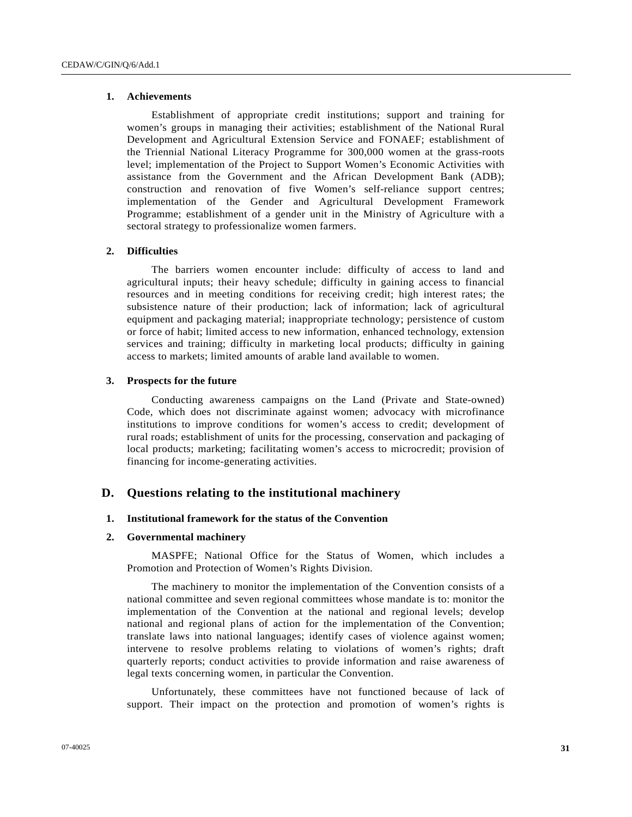### **1. Achievements**

 Establishment of appropriate credit institutions; support and training for women's groups in managing their activities; establishment of the National Rural Development and Agricultural Extension Service and FONAEF; establishment of the Triennial National Literacy Programme for 300,000 women at the grass-roots level; implementation of the Project to Support Women's Economic Activities with assistance from the Government and the African Development Bank (ADB); construction and renovation of five Women's self-reliance support centres; implementation of the Gender and Agricultural Development Framework Programme; establishment of a gender unit in the Ministry of Agriculture with a sectoral strategy to professionalize women farmers.

### **2. Difficulties**

 The barriers women encounter include: difficulty of access to land and agricultural inputs; their heavy schedule; difficulty in gaining access to financial resources and in meeting conditions for receiving credit; high interest rates; the subsistence nature of their production; lack of information; lack of agricultural equipment and packaging material; inappropriate technology; persistence of custom or force of habit; limited access to new information, enhanced technology, extension services and training; difficulty in marketing local products; difficulty in gaining access to markets; limited amounts of arable land available to women.

### **3. Prospects for the future**

 Conducting awareness campaigns on the Land (Private and State-owned) Code, which does not discriminate against women; advocacy with microfinance institutions to improve conditions for women's access to credit; development of rural roads; establishment of units for the processing, conservation and packaging of local products; marketing; facilitating women's access to microcredit; provision of financing for income-generating activities.

# **D. Questions relating to the institutional machinery**

### **1. Institutional framework for the status of the Convention**

### **2. Governmental machinery**

 MASPFE; National Office for the Status of Women, which includes a Promotion and Protection of Women's Rights Division.

 The machinery to monitor the implementation of the Convention consists of a national committee and seven regional committees whose mandate is to: monitor the implementation of the Convention at the national and regional levels; develop national and regional plans of action for the implementation of the Convention; translate laws into national languages; identify cases of violence against women; intervene to resolve problems relating to violations of women's rights; draft quarterly reports; conduct activities to provide information and raise awareness of legal texts concerning women, in particular the Convention.

 Unfortunately, these committees have not functioned because of lack of support. Their impact on the protection and promotion of women's rights is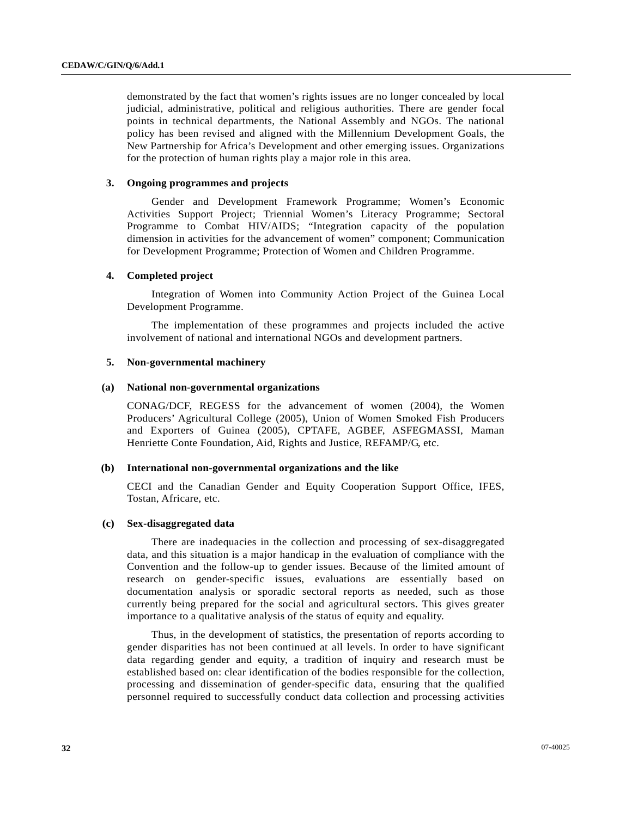demonstrated by the fact that women's rights issues are no longer concealed by local judicial, administrative, political and religious authorities. There are gender focal points in technical departments, the National Assembly and NGOs. The national policy has been revised and aligned with the Millennium Development Goals, the New Partnership for Africa's Development and other emerging issues. Organizations for the protection of human rights play a major role in this area.

### **3. Ongoing programmes and projects**

 Gender and Development Framework Programme; Women's Economic Activities Support Project; Triennial Women's Literacy Programme; Sectoral Programme to Combat HIV/AIDS; "Integration capacity of the population dimension in activities for the advancement of women" component; Communication for Development Programme; Protection of Women and Children Programme.

# **4. Completed project**

 Integration of Women into Community Action Project of the Guinea Local Development Programme.

 The implementation of these programmes and projects included the active involvement of national and international NGOs and development partners.

# **5. Non-governmental machinery**

### **(a) National non-governmental organizations**

CONAG/DCF, REGESS for the advancement of women (2004), the Women Producers' Agricultural College (2005), Union of Women Smoked Fish Producers and Exporters of Guinea (2005), CPTAFE, AGBEF, ASFEGMASSI, Maman Henriette Conte Foundation, Aid, Rights and Justice, REFAMP/G, etc.

### **(b) International non-governmental organizations and the like**

CECI and the Canadian Gender and Equity Cooperation Support Office, IFES, Tostan, Africare, etc.

### **(c) Sex-disaggregated data**

 There are inadequacies in the collection and processing of sex-disaggregated data, and this situation is a major handicap in the evaluation of compliance with the Convention and the follow-up to gender issues. Because of the limited amount of research on gender-specific issues, evaluations are essentially based on documentation analysis or sporadic sectoral reports as needed, such as those currently being prepared for the social and agricultural sectors. This gives greater importance to a qualitative analysis of the status of equity and equality.

 Thus, in the development of statistics, the presentation of reports according to gender disparities has not been continued at all levels. In order to have significant data regarding gender and equity, a tradition of inquiry and research must be established based on: clear identification of the bodies responsible for the collection, processing and dissemination of gender-specific data, ensuring that the qualified personnel required to successfully conduct data collection and processing activities